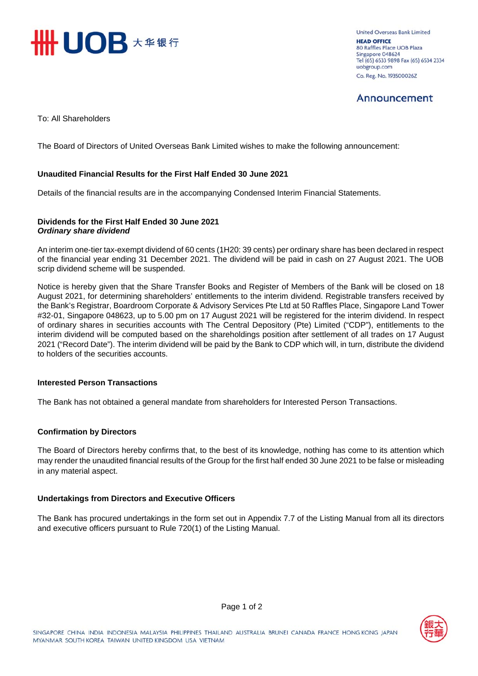

United Overseas Bank Limited **HEAD OFFICE** 80 Raffles Place UOB Plaza Singapore 048624 Tel (65) 6533 9898 Fax (65) 6534 2334 uobgroup.com Co. Reg. No. 193500026Z

# Announcement

To: All Shareholders

The Board of Directors of United Overseas Bank Limited wishes to make the following announcement:

# **Unaudited Financial Results for the First Half Ended 30 June 2021**

Details of the financial results are in the accompanying Condensed Interim Financial Statements.

# **Dividends for the First Half Ended 30 June 2021**  *Ordinary share dividend*

An interim one-tier tax-exempt dividend of 60 cents (1H20: 39 cents) per ordinary share has been declared in respect of the financial year ending 31 December 2021. The dividend will be paid in cash on 27 August 2021. The UOB scrip dividend scheme will be suspended.

Notice is hereby given that the Share Transfer Books and Register of Members of the Bank will be closed on 18 August 2021, for determining shareholders' entitlements to the interim dividend. Registrable transfers received by the Bank's Registrar, Boardroom Corporate & Advisory Services Pte Ltd at 50 Raffles Place, Singapore Land Tower #32-01, Singapore 048623, up to 5.00 pm on 17 August 2021 will be registered for the interim dividend. In respect of ordinary shares in securities accounts with The Central Depository (Pte) Limited ("CDP"), entitlements to the interim dividend will be computed based on the shareholdings position after settlement of all trades on 17 August 2021 ("Record Date"). The interim dividend will be paid by the Bank to CDP which will, in turn, distribute the dividend to holders of the securities accounts.

# **Interested Person Transactions**

The Bank has not obtained a general mandate from shareholders for Interested Person Transactions.

# **Confirmation by Directors**

The Board of Directors hereby confirms that, to the best of its knowledge, nothing has come to its attention which may render the unaudited financial results of the Group for the first half ended 30 June 2021 to be false or misleading in any material aspect.

# **Undertakings from Directors and Executive Officers**

The Bank has procured undertakings in the form set out in Appendix 7.7 of the Listing Manual from all its directors and executive officers pursuant to Rule 720(1) of the Listing Manual.

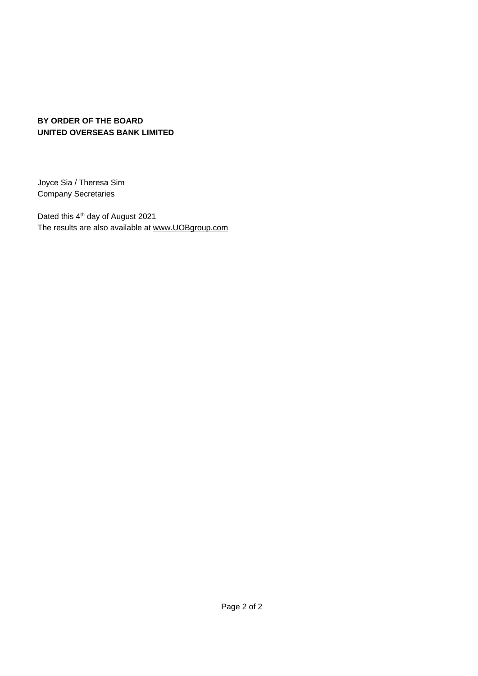# **BY ORDER OF THE BOARD UNITED OVERSEAS BANK LIMITED**

Joyce Sia / Theresa Sim Company Secretaries

Dated this 4<sup>th</sup> day of August 2021 The results are also available at www.UOBgroup.com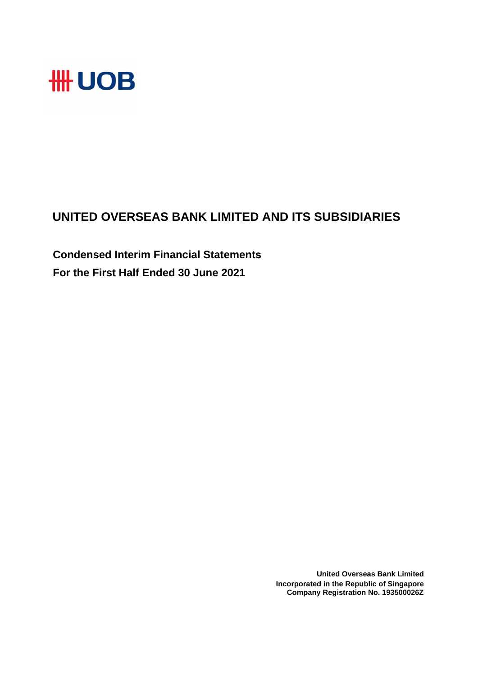

# **UNITED OVERSEAS BANK LIMITED AND ITS SUBSIDIARIES**

**Condensed Interim Financial Statements For the First Half Ended 30 June 2021**

> **United Overseas Bank Limited Incorporated in the Republic of Singapore Company Registration No. 193500026Z**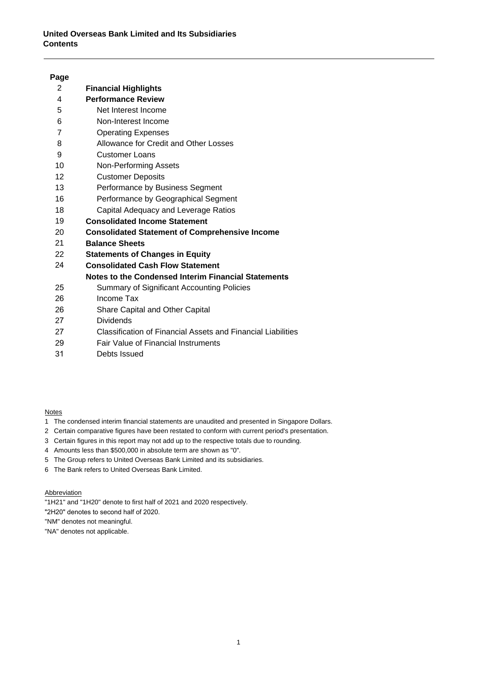# **United Overseas Bank Limited and Its Subsidiaries Contents**

# **Page**

| 2  | <b>Financial Highlights</b>                           |
|----|-------------------------------------------------------|
| 4  | <b>Performance Review</b>                             |
| 5  | Net Interest Income                                   |
| 6  | Non-Interest Income                                   |
| 7  | <b>Operating Expenses</b>                             |
| 8  | Allowance for Credit and Other Losses                 |
| 9  | <b>Customer Loans</b>                                 |
| 10 | <b>Non-Performing Assets</b>                          |
| 12 | <b>Customer Deposits</b>                              |
| 13 | Performance by Business Segment                       |
| 16 | Performance by Geographical Segment                   |
| 18 | Capital Adequacy and Leverage Ratios                  |
| 19 | <b>Consolidated Income Statement</b>                  |
| 20 | <b>Consolidated Statement of Comprehensive Income</b> |
| 21 | <b>Balance Sheets</b>                                 |
| 22 | <b>Statements of Changes in Equity</b>                |
| 24 | <b>Consolidated Cash Flow Statement</b>               |
|    | Notes to the Condensed Interim Financial Statements   |
| 25 | Summary of Significant Accounting Policies            |
| 26 | Income Tax                                            |
| 26 | Share Capital and Other Capital                       |
| 27 | Dividends                                             |

- 27 Classification of Financial Assets and Financial Liabilities
- 29 Fair Value of Financial Instruments
- 31 Debts Issued

Notes

- 1 The condensed interim financial statements are unaudited and presented in Singapore Dollars.
- 2 Certain comparative figures have been restated to conform with current period's presentation.
- 3 Certain figures in this report may not add up to the respective totals due to rounding.
- 4 Amounts less than \$500,000 in absolute term are shown as "0".
- 5 The Group refers to United Overseas Bank Limited and its subsidiaries.
- 6 The Bank refers to United Overseas Bank Limited.

**Abbreviation** 

- "1H21" and "1H20" denote to first half of 2021 and 2020 respectively.
- "2H20" denotes to second half of 2020.

"NM" denotes not meaningful.

"NA" denotes not applicable.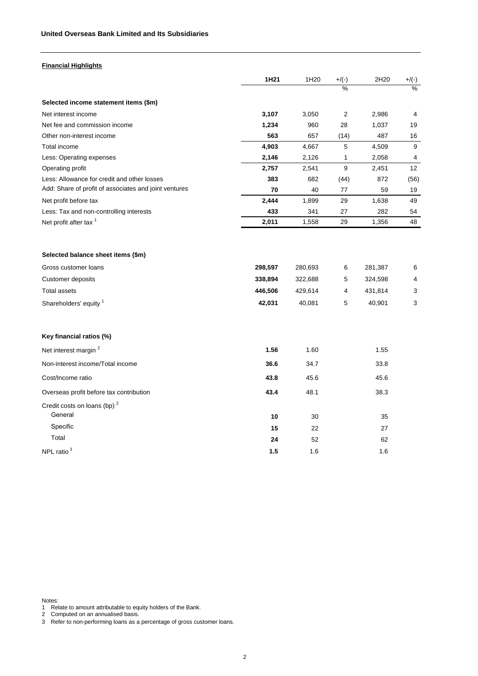| Financial Highlights |
|----------------------|
|                      |

|                                                       | 1H21    | 1H <sub>20</sub> | $+/(-)$       | 2H20    | $+/(-)$       |
|-------------------------------------------------------|---------|------------------|---------------|---------|---------------|
|                                                       |         |                  | $\frac{0}{2}$ |         | $\frac{0}{0}$ |
| Selected income statement items (\$m)                 |         |                  |               |         |               |
| Net interest income                                   | 3,107   | 3,050            | 2             | 2,986   | 4             |
| Net fee and commission income                         | 1,234   | 960              | 28            | 1,037   | 19            |
| Other non-interest income                             | 563     | 657              | (14)          | 487     | 16            |
| Total income                                          | 4,903   | 4,667            | 5             | 4,509   | 9             |
| Less: Operating expenses                              | 2,146   | 2,126            | 1             | 2,058   | 4             |
| Operating profit                                      | 2,757   | 2,541            | 9             | 2,451   | 12            |
| Less: Allowance for credit and other losses           | 383     | 682              | (44)          | 872     | (56)          |
| Add: Share of profit of associates and joint ventures | 70      | 40               | 77            | 59      | 19            |
| Net profit before tax                                 | 2,444   | 1,899            | 29            | 1,638   | 49            |
| Less: Tax and non-controlling interests               | 433     | 341              | 27            | 282     | 54            |
| Net profit after tax <sup>1</sup>                     | 2,011   | 1,558            | 29            | 1,356   | 48            |
|                                                       |         |                  |               |         |               |
| Selected balance sheet items (\$m)                    |         |                  |               |         |               |
| Gross customer loans                                  | 298,597 | 280,693          | 6             | 281,387 | 6             |
| Customer deposits                                     | 338,894 | 322,688          | 5             | 324,598 | 4             |
| <b>Total assets</b>                                   | 446,506 | 429,614          | 4             | 431,814 | 3             |
| Shareholders' equity <sup>1</sup>                     | 42,031  | 40,081           | 5             | 40,901  | 3             |
| Key financial ratios (%)                              |         |                  |               |         |               |
| Net interest margin <sup>2</sup>                      | 1.56    | 1.60             |               | 1.55    |               |
| Non-interest income/Total income                      | 36.6    | 34.7             |               | 33.8    |               |
| Cost/Income ratio                                     | 43.8    | 45.6             |               | 45.6    |               |
| Overseas profit before tax contribution               | 43.4    | 48.1             |               | 38.3    |               |
| Credit costs on loans (bp) <sup>2</sup><br>General    | 10      | 30               |               | 35      |               |
| Specific                                              | 15      | 22               |               | 27      |               |
| Total                                                 | 24      | 52               |               | 62      |               |
| NPL ratio <sup>3</sup>                                | 1.5     | 1.6              |               | 1.6     |               |

Notes:

1 Relate to amount attributable to equity holders of the Bank.

2 Computed on an annualised basis.

3 Refer to non-performing loans as a percentage of gross customer loans.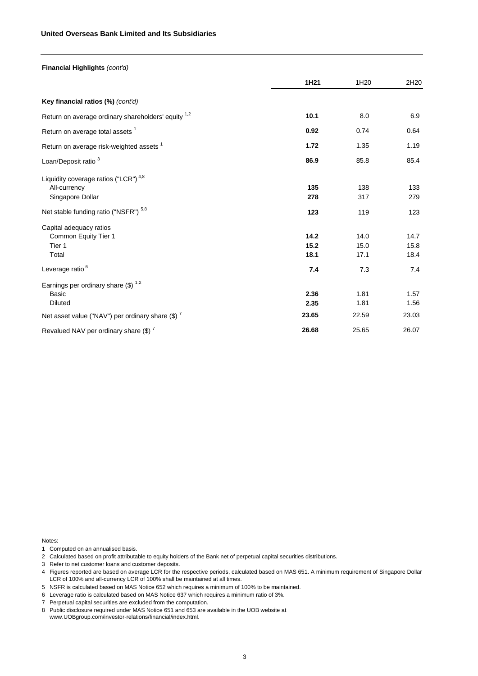### **United Overseas Bank Limited and Its Subsidiaries**

| Financial Highlights (cont'd)                                                                                                                                                    |                           |                           |                           |
|----------------------------------------------------------------------------------------------------------------------------------------------------------------------------------|---------------------------|---------------------------|---------------------------|
|                                                                                                                                                                                  | 1H <sub>21</sub>          | 1H <sub>20</sub>          | 2H20                      |
| Key financial ratios (%) (cont'd)                                                                                                                                                |                           |                           |                           |
| Return on average ordinary shareholders' equity 1,2                                                                                                                              | 10.1                      | 8.0                       | 6.9                       |
| Return on average total assets <sup>1</sup>                                                                                                                                      | 0.92                      | 0.74                      | 0.64                      |
| Return on average risk-weighted assets <sup>1</sup>                                                                                                                              | 1.72                      | 1.35                      | 1.19                      |
| Loan/Deposit ratio <sup>3</sup>                                                                                                                                                  | 86.9                      | 85.8                      | 85.4                      |
| Liquidity coverage ratios ("LCR") <sup>4,8</sup><br>All-currency<br>Singapore Dollar<br>Net stable funding ratio ("NSFR") 5,8<br>Capital adequacy ratios<br>Common Equity Tier 1 | 135<br>278<br>123<br>14.2 | 138<br>317<br>119<br>14.0 | 133<br>279<br>123<br>14.7 |
| Tier 1<br>Total                                                                                                                                                                  | 15.2<br>18.1              | 15.0<br>17.1              | 15.8<br>18.4              |
| Leverage ratio <sup>6</sup>                                                                                                                                                      | 7.4                       | 7.3                       | 7.4                       |
| Earnings per ordinary share $(\$)$ <sup>1,2</sup><br>Basic<br><b>Diluted</b><br>Net asset value ("NAV") per ordinary share (\$) <sup>7</sup>                                     | 2.36<br>2.35<br>23.65     | 1.81<br>1.81<br>22.59     | 1.57<br>1.56<br>23.03     |
| Revalued NAV per ordinary share $(\text{$\$})^7$                                                                                                                                 | 26.68                     | 25.65                     | 26.07                     |

Notes:

- 1 Computed on an annualised basis.
- 2 Calculated based on profit attributable to equity holders of the Bank net of perpetual capital securities distributions.
- 3 Refer to net customer loans and customer deposits.
- 4 Figures reported are based on average LCR for the respective periods, calculated based on MAS 651. A minimum requirement of Singapore Dollar LCR of 100% and all-currency LCR of 100% shall be maintained at all times.
- 5 NSFR is calculated based on MAS Notice 652 which requires a minimum of 100% to be maintained.
- 6 Leverage ratio is calculated based on MAS Notice 637 which requires a minimum ratio of 3%.
- 7 Perpetual capital securities are excluded from the computation.
- 8 Public disclosure required under MAS Notice 651 and 653 are available in the UOB website at www.UOBgroup.com/investor-relations/financial/index.html.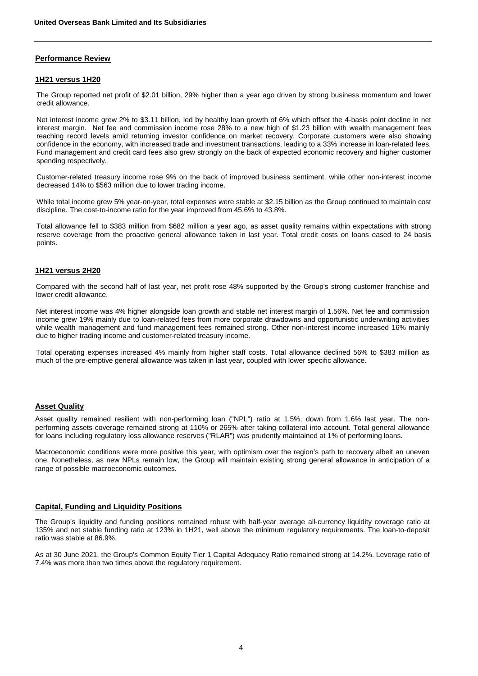# **Performance Review**

### **1H21 versus 1H20**

The Group reported net profit of \$2.01 billion, 29% higher than a year ago driven by strong business momentum and lower credit allowance.

Net interest income grew 2% to \$3.11 billion, led by healthy loan growth of 6% which offset the 4-basis point decline in net interest margin. Net fee and commission income rose 28% to a new high of \$1.23 billion with wealth management fees reaching record levels amid returning investor confidence on market recovery. Corporate customers were also showing confidence in the economy, with increased trade and investment transactions, leading to a 33% increase in loan-related fees. Fund management and credit card fees also grew strongly on the back of expected economic recovery and higher customer spending respectively.

Customer-related treasury income rose 9% on the back of improved business sentiment, while other non-interest income decreased 14% to \$563 million due to lower trading income.

While total income grew 5% year-on-year, total expenses were stable at \$2.15 billion as the Group continued to maintain cost discipline. The cost-to-income ratio for the year improved from 45.6% to 43.8%.

Total allowance fell to \$383 million from \$682 million a year ago, as asset quality remains within expectations with strong reserve coverage from the proactive general allowance taken in last year. Total credit costs on loans eased to 24 basis points.

# **1H21 versus 2H20**

Compared with the second half of last year, net profit rose 48% supported by the Group's strong customer franchise and lower credit allowance.

Net interest income was 4% higher alongside loan growth and stable net interest margin of 1.56%. Net fee and commission income grew 19% mainly due to loan-related fees from more corporate drawdowns and opportunistic underwriting activities while wealth management and fund management fees remained strong. Other non-interest income increased 16% mainly due to higher trading income and customer-related treasury income.

Total operating expenses increased 4% mainly from higher staff costs. Total allowance declined 56% to \$383 million as much of the pre-emptive general allowance was taken in last year, coupled with lower specific allowance.

# **Asset Quality**

Asset quality remained resilient with non-performing loan ("NPL") ratio at 1.5%, down from 1.6% last year. The nonperforming assets coverage remained strong at 110% or 265% after taking collateral into account. Total general allowance for loans including regulatory loss allowance reserves ("RLAR") was prudently maintained at 1% of performing loans.

Macroeconomic conditions were more positive this year, with optimism over the region's path to recovery albeit an uneven one. Nonetheless, as new NPLs remain low, the Group will maintain existing strong general allowance in anticipation of a range of possible macroeconomic outcomes.

# **Capital, Funding and Liquidity Positions**

The Group's liquidity and funding positions remained robust with half-year average all-currency liquidity coverage ratio at 135% and net stable funding ratio at 123% in 1H21, well above the minimum regulatory requirements. The loan-to-deposit ratio was stable at 86.9%.

As at 30 June 2021, the Group's Common Equity Tier 1 Capital Adequacy Ratio remained strong at 14.2%. Leverage ratio of 7.4% was more than two times above the regulatory requirement.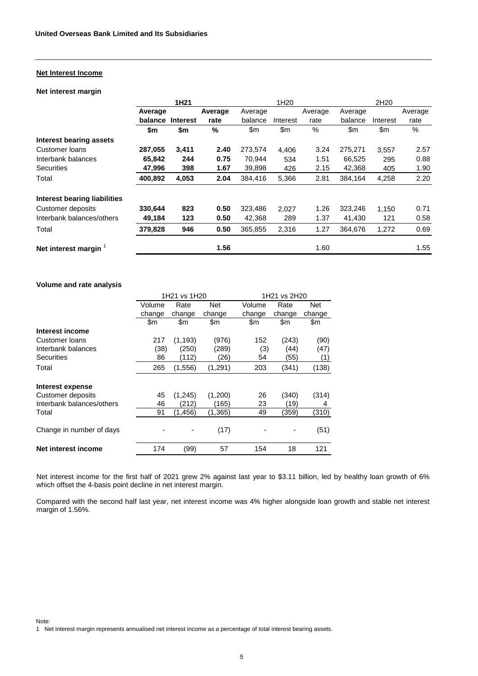# **Net Interest Income**

# **Net interest margin**

|                                | 1H <sub>21</sub> |                 |         | 1H <sub>20</sub> |          |         | 2H <sub>20</sub> |               |         |
|--------------------------------|------------------|-----------------|---------|------------------|----------|---------|------------------|---------------|---------|
|                                | Average          |                 | Average | Average          |          | Average | Average          |               | Average |
|                                | balance          | <b>Interest</b> | rate    | balance          | Interest | rate    | balance          | Interest      | rate    |
|                                | \$m              | \$m             | %       | \$m              | \$m      | $\%$    | \$m              | $\mathsf{Sm}$ | %       |
| <b>Interest bearing assets</b> |                  |                 |         |                  |          |         |                  |               |         |
| Customer Ioans                 | 287,055          | 3,411           | 2.40    | 273,574          | 4,406    | 3.24    | 275,271          | 3,557         | 2.57    |
| Interbank balances             | 65,842           | 244             | 0.75    | 70,944           | 534      | 1.51    | 66,525           | 295           | 0.88    |
| <b>Securities</b>              | 47,996           | 398             | 1.67    | 39,898           | 426      | 2.15    | 42,368           | 405           | 1.90    |
| Total                          | 400,892          | 4,053           | 2.04    | 384,416          | 5,366    | 2.81    | 384,164          | 4,258         | 2.20    |
| Interest bearing liabilities   |                  |                 |         |                  |          |         |                  |               |         |
| Customer deposits              | 330,644          | 823             | 0.50    | 323,486          | 2,027    | 1.26    | 323,246          | 1.150         | 0.71    |
| Interbank balances/others      | 49,184           | 123             | 0.50    | 42,368           | 289      | 1.37    | 41,430           | 121           | 0.58    |
| Total                          | 379,828          | 946             | 0.50    | 365,855          | 2,316    | 1.27    | 364.676          | 1,272         | 0.69    |
| Net interest margin            |                  |                 | 1.56    |                  |          | 1.60    |                  |               | 1.55    |

# **Volume and rate analysis**

|                           |        | 1H21 vs 1H20 |          |        | 1H21 vs 2H20 |               |  |
|---------------------------|--------|--------------|----------|--------|--------------|---------------|--|
|                           | Volume | Rate         | Net      | Volume | Rate         | Net           |  |
|                           | change | change       | change   | change | change       | change        |  |
|                           | \$m    | \$m          | \$m      | \$m    | \$m          | $\mathsf{Sm}$ |  |
| Interest income           |        |              |          |        |              |               |  |
| Customer Ioans            | 217    | (1, 193)     | (976)    | 152    | (243)        | (90)          |  |
| Interbank balances        | (38)   | (250)        | (289)    | (3)    | (44)         | (47)          |  |
| Securities                | 86     | (112)        | (26)     | 54     | (55)         | (1)           |  |
| Total                     | 265    | (1,556)      | (1,291)  | 203    | (341)        | (138)         |  |
| Interest expense          |        |              |          |        |              |               |  |
| Customer deposits         | 45     | (1,245)      | (1,200)  | 26     | (340)        | (314)         |  |
| Interbank balances/others | 46     | 212)         | (165)    | 23     | (19)         | 4             |  |
| Total                     | 91     | (1,456)      | (1, 365) | 49     | (359)        | (310)         |  |
| Change in number of days  |        |              | (17)     |        |              | (51)          |  |
| Net interest income       | 174    | (99)         | 57       | 154    | 18           | 121           |  |

Net interest income for the first half of 2021 grew 2% against last year to \$3.11 billion, led by healthy loan growth of 6% which offset the 4-basis point decline in net interest margin.

Compared with the second half last year, net interest income was 4% higher alongside loan growth and stable net interest margin of 1.56%.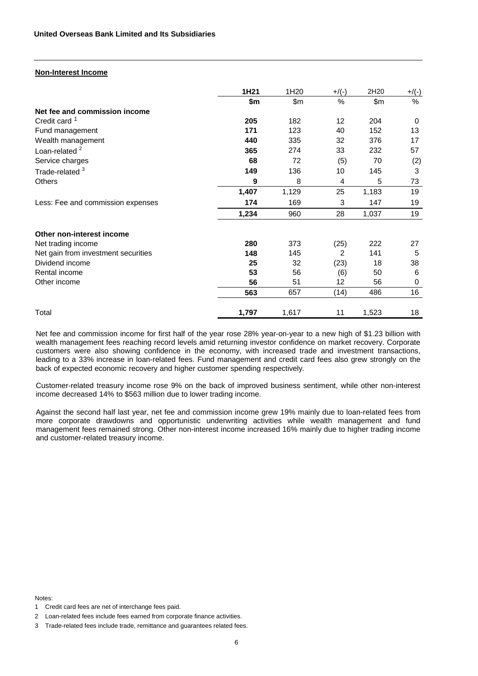# **Non-Interest Income**

|                                     | 1H21  | 1H <sub>20</sub> | $+$ /(-) | 2H20  | $+/(-)$ |
|-------------------------------------|-------|------------------|----------|-------|---------|
|                                     | \$m   | \$m\$            | %        | \$m\$ | %       |
| Net fee and commission income       |       |                  |          |       |         |
| Credit card <sup>1</sup>            | 205   | 182              | 12       | 204   | 0       |
| Fund management                     | 171   | 123              | 40       | 152   | 13      |
| Wealth management                   | 440   | 335              | 32       | 376   | 17      |
| Loan-related $2$                    | 365   | 274              | 33       | 232   | 57      |
| Service charges                     | 68    | 72               | (5)      | 70    | (2)     |
| Trade-related <sup>3</sup>          | 149   | 136              | 10       | 145   | 3       |
| <b>Others</b>                       | 9     | 8                | 4        | 5     | 73      |
|                                     | 1,407 | 1,129            | 25       | 1,183 | 19      |
| Less: Fee and commission expenses   | 174   | 169              | 3        | 147   | 19      |
|                                     | 1,234 | 960              | 28       | 1,037 | 19      |
| Other non-interest income           |       |                  |          |       |         |
| Net trading income                  | 280   | 373              | (25)     | 222   | 27      |
| Net gain from investment securities | 148   | 145              | 2        | 141   | 5       |
| Dividend income                     | 25    | 32               | (23)     | 18    | 38      |
| Rental income                       | 53    | 56               | (6)      | 50    | 6       |
| Other income                        | 56    | 51               | 12       | 56    | 0       |
|                                     | 563   | 657              | (14)     | 486   | 16      |
| Total                               | 1,797 | 1,617            | 11       | 1,523 | 18      |

Net fee and commission income for first half of the year rose 28% year-on-year to a new high of \$1.23 billion with wealth management fees reaching record levels amid returning investor confidence on market recovery. Corporate customers were also showing confidence in the economy, with increased trade and investment transactions, leading to a 33% increase in loan-related fees. Fund management and credit card fees also grew strongly on the back of expected economic recovery and higher customer spending respectively.

Customer-related treasury income rose 9% on the back of improved business sentiment, while other non-interest income decreased 14% to \$563 million due to lower trading income.

Against the second half last year, net fee and commission income grew 19% mainly due to loan-related fees from more corporate drawdowns and opportunistic underwriting activities while wealth management and fund management fees remained strong. Other non-interest income increased 16% mainly due to higher trading income and customer-related treasury income.

Notes:

<sup>1</sup> Credit card fees are net of interchange fees paid.

<sup>2</sup> Loan-related fees include fees earned from corporate finance activities.

<sup>3</sup> Trade-related fees include trade, remittance and guarantees related fees.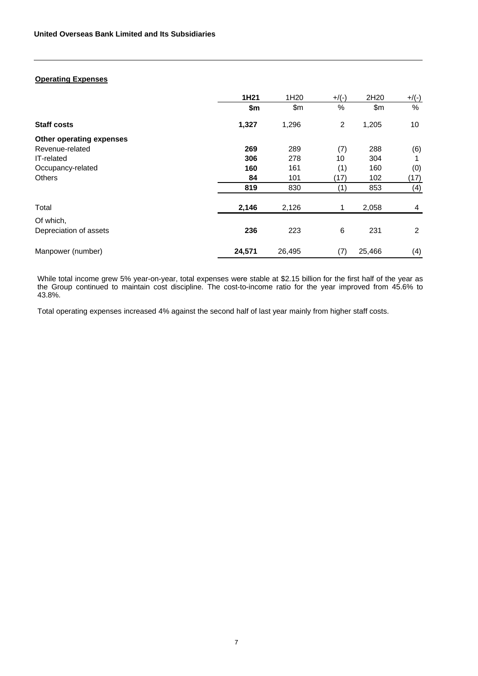# **Operating Expenses**

|                          | 1H <sub>21</sub> | 1H <sub>20</sub> | $+$ /(-)       | 2H20   | $+$ /(-) |
|--------------------------|------------------|------------------|----------------|--------|----------|
|                          | \$m              | \$m\$            | $\%$           | \$m    | %        |
| <b>Staff costs</b>       | 1,327            | 1,296            | $\overline{2}$ | 1,205  | 10       |
| Other operating expenses |                  |                  |                |        |          |
| Revenue-related          | 269              | 289              | (7)            | 288    | (6)      |
| IT-related               | 306              | 278              | 10             | 304    | 1        |
| Occupancy-related        | 160              | 161              | (1)            | 160    | (0)      |
| <b>Others</b>            | 84               | 101              | (17)           | 102    | (17)     |
|                          | 819              | 830              | (1)            | 853    | (4)      |
| Total                    | 2,146            | 2,126            | 1              | 2,058  | 4        |
| Of which,                |                  |                  |                |        |          |
| Depreciation of assets   | 236              | 223              | 6              | 231    | 2        |
| Manpower (number)        | 24,571           | 26,495           | (7)            | 25,466 | (4)      |

While total income grew 5% year-on-year, total expenses were stable at \$2.15 billion for the first half of the year as the Group continued to maintain cost discipline. The cost-to-income ratio for the year improved from 45.6% to 43.8%.

Total operating expenses increased 4% against the second half of last year mainly from higher staff costs.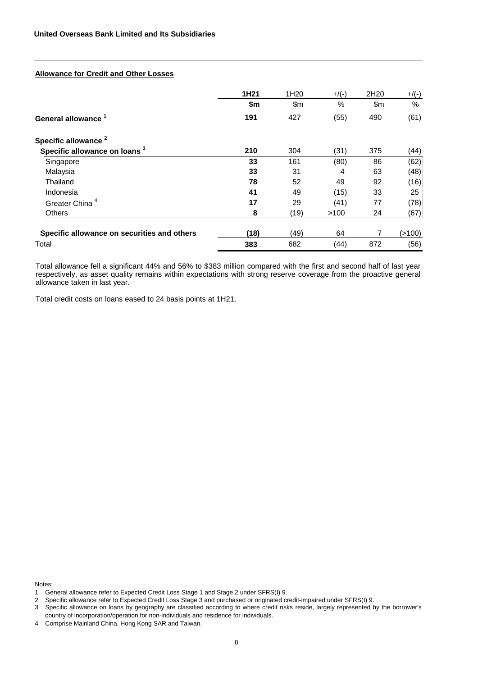# **Allowance for Credit and Other Losses**

|                                             | 1H <sub>21</sub> | 1H <sub>20</sub> | $+$ /(-) | 2H20 | $+$ /(-) |
|---------------------------------------------|------------------|------------------|----------|------|----------|
|                                             | \$m              | \$m\$            | $\%$     | \$m  | %        |
| General allowance <sup>1</sup>              | 191              | 427              | (55)     | 490  | (61)     |
| Specific allowance <sup>2</sup>             |                  |                  |          |      |          |
| Specific allowance on loans <sup>3</sup>    | 210              | 304              | (31)     | 375  | (44)     |
| Singapore                                   | 33               | 161              | (80)     | 86   | (62)     |
| Malaysia                                    | 33               | 31               | 4        | 63   | (48)     |
| Thailand                                    | 78               | 52               | 49       | 92   | (16)     |
| Indonesia                                   | 41               | 49               | (15)     | 33   | 25       |
| Greater China <sup>4</sup>                  | 17               | 29               | (41)     | 77   | (78)     |
| <b>Others</b>                               | 8                | (19)             | >100     | 24   | (67)     |
| Specific allowance on securities and others | (18)             | (49)             | 64       |      | (>100)   |
| Total                                       | 383              | 682              | (44)     | 872  | (56)     |

Total allowance fell a significant 44% and 56% to \$383 million compared with the first and second half of last year respectively, as asset quality remains within expectations with strong reserve coverage from the proactive general allowance taken in last year.

Total credit costs on loans eased to 24 basis points at 1H21.

Notes:

<sup>1</sup> General allowance refer to Expected Credit Loss Stage 1 and Stage 2 under SFRS(I) 9.

<sup>2</sup> Specific allowance refer to Expected Credit Loss Stage 3 and purchased or originated credit-impaired under SFRS(I) 9.

<sup>3</sup> Specific allowance on loans by geography are classified according to where credit risks reside, largely represented by the borrower's country of incorporation/operation for non-individuals and residence for individuals.

<sup>4</sup> Comprise Mainland China, Hong Kong SAR and Taiwan.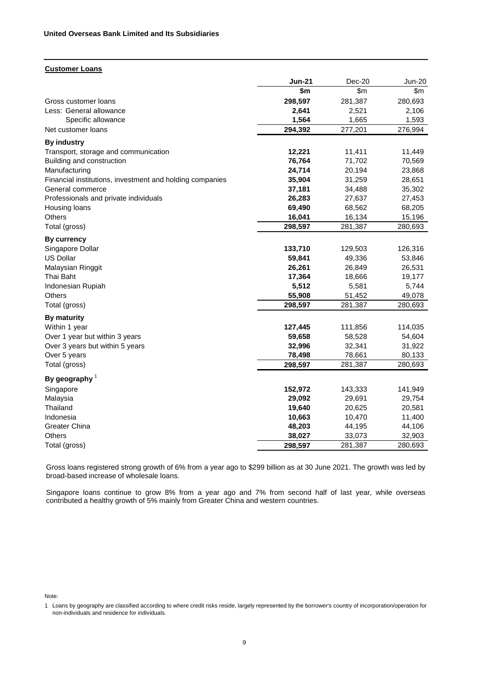### **Customer Loans**

| \$m<br>\$m<br>\$m\$<br>298,597<br>281,387<br>Gross customer loans<br>280,693<br>Less: General allowance<br>2,641<br>2,521<br>2,106<br>1,564<br>1,593<br>Specific allowance<br>1,665<br>294,392<br>277,201<br>276,994<br>Net customer loans<br><b>By industry</b><br>Transport, storage and communication<br>12,221<br>11,411<br>11,449<br>76,764<br>Building and construction<br>71,702<br>70,569<br>24,714<br>20,194<br>23,868<br>Manufacturing<br>31,259<br>Financial institutions, investment and holding companies<br>35,904<br>28,651<br>37,181<br>35,302<br>General commerce<br>34,488<br>27,637<br>Professionals and private individuals<br>26,283<br>27,453<br>69,490<br>68,562<br>68,205<br>Housing loans<br>16,041<br>16,134<br><b>Others</b><br>15,196<br>Total (gross)<br>298,597<br>281,387<br>280,693<br>By currency<br>133,710<br>129,503<br>126,316<br>Singapore Dollar<br><b>US Dollar</b><br>59,841<br>49,336<br>53,846<br>Malaysian Ringgit<br>26,261<br>26,849<br>26,531<br>Thai Baht<br>17,364<br>18,666<br>19,177<br>5,512<br>5,581<br>Indonesian Rupiah<br>5,744<br>Others<br>55,908<br>51,452<br>49,078<br>298,597<br>281,387<br>Total (gross)<br>280,693<br>By maturity<br>127,445<br>111,856<br>Within 1 year<br>114,035<br>Over 1 year but within 3 years<br>58,528<br>59,658<br>54,604<br>Over 3 years but within 5 years<br>32,996<br>32,341<br>31,922<br>Over 5 years<br>78,661<br>80,133<br>78,498<br>Total (gross)<br>298,597<br>281,387<br>280,693<br>By geography $1$<br>Singapore<br>152,972<br>143,333<br>141,949<br>Malaysia<br>29,092<br>29,691<br>29,754<br>Thailand<br>19,640<br>20,625<br>20,581<br>11,400<br>Indonesia<br>10,663<br>10,470<br><b>Greater China</b><br>48,203<br>44,195<br>44,106<br>38,027<br>Others<br>33,073<br>32,903<br>Total (gross)<br>298,597<br>281,387<br>280,693 | <b>Jun-21</b> | Dec-20 | <b>Jun-20</b> |
|--------------------------------------------------------------------------------------------------------------------------------------------------------------------------------------------------------------------------------------------------------------------------------------------------------------------------------------------------------------------------------------------------------------------------------------------------------------------------------------------------------------------------------------------------------------------------------------------------------------------------------------------------------------------------------------------------------------------------------------------------------------------------------------------------------------------------------------------------------------------------------------------------------------------------------------------------------------------------------------------------------------------------------------------------------------------------------------------------------------------------------------------------------------------------------------------------------------------------------------------------------------------------------------------------------------------------------------------------------------------------------------------------------------------------------------------------------------------------------------------------------------------------------------------------------------------------------------------------------------------------------------------------------------------------------------------------------------------------------------------------------------------------------------------------------------------------------------|---------------|--------|---------------|
|                                                                                                                                                                                                                                                                                                                                                                                                                                                                                                                                                                                                                                                                                                                                                                                                                                                                                                                                                                                                                                                                                                                                                                                                                                                                                                                                                                                                                                                                                                                                                                                                                                                                                                                                                                                                                                      |               |        |               |
|                                                                                                                                                                                                                                                                                                                                                                                                                                                                                                                                                                                                                                                                                                                                                                                                                                                                                                                                                                                                                                                                                                                                                                                                                                                                                                                                                                                                                                                                                                                                                                                                                                                                                                                                                                                                                                      |               |        |               |
|                                                                                                                                                                                                                                                                                                                                                                                                                                                                                                                                                                                                                                                                                                                                                                                                                                                                                                                                                                                                                                                                                                                                                                                                                                                                                                                                                                                                                                                                                                                                                                                                                                                                                                                                                                                                                                      |               |        |               |
|                                                                                                                                                                                                                                                                                                                                                                                                                                                                                                                                                                                                                                                                                                                                                                                                                                                                                                                                                                                                                                                                                                                                                                                                                                                                                                                                                                                                                                                                                                                                                                                                                                                                                                                                                                                                                                      |               |        |               |
|                                                                                                                                                                                                                                                                                                                                                                                                                                                                                                                                                                                                                                                                                                                                                                                                                                                                                                                                                                                                                                                                                                                                                                                                                                                                                                                                                                                                                                                                                                                                                                                                                                                                                                                                                                                                                                      |               |        |               |
|                                                                                                                                                                                                                                                                                                                                                                                                                                                                                                                                                                                                                                                                                                                                                                                                                                                                                                                                                                                                                                                                                                                                                                                                                                                                                                                                                                                                                                                                                                                                                                                                                                                                                                                                                                                                                                      |               |        |               |
|                                                                                                                                                                                                                                                                                                                                                                                                                                                                                                                                                                                                                                                                                                                                                                                                                                                                                                                                                                                                                                                                                                                                                                                                                                                                                                                                                                                                                                                                                                                                                                                                                                                                                                                                                                                                                                      |               |        |               |
|                                                                                                                                                                                                                                                                                                                                                                                                                                                                                                                                                                                                                                                                                                                                                                                                                                                                                                                                                                                                                                                                                                                                                                                                                                                                                                                                                                                                                                                                                                                                                                                                                                                                                                                                                                                                                                      |               |        |               |
|                                                                                                                                                                                                                                                                                                                                                                                                                                                                                                                                                                                                                                                                                                                                                                                                                                                                                                                                                                                                                                                                                                                                                                                                                                                                                                                                                                                                                                                                                                                                                                                                                                                                                                                                                                                                                                      |               |        |               |
|                                                                                                                                                                                                                                                                                                                                                                                                                                                                                                                                                                                                                                                                                                                                                                                                                                                                                                                                                                                                                                                                                                                                                                                                                                                                                                                                                                                                                                                                                                                                                                                                                                                                                                                                                                                                                                      |               |        |               |
|                                                                                                                                                                                                                                                                                                                                                                                                                                                                                                                                                                                                                                                                                                                                                                                                                                                                                                                                                                                                                                                                                                                                                                                                                                                                                                                                                                                                                                                                                                                                                                                                                                                                                                                                                                                                                                      |               |        |               |
|                                                                                                                                                                                                                                                                                                                                                                                                                                                                                                                                                                                                                                                                                                                                                                                                                                                                                                                                                                                                                                                                                                                                                                                                                                                                                                                                                                                                                                                                                                                                                                                                                                                                                                                                                                                                                                      |               |        |               |
|                                                                                                                                                                                                                                                                                                                                                                                                                                                                                                                                                                                                                                                                                                                                                                                                                                                                                                                                                                                                                                                                                                                                                                                                                                                                                                                                                                                                                                                                                                                                                                                                                                                                                                                                                                                                                                      |               |        |               |
|                                                                                                                                                                                                                                                                                                                                                                                                                                                                                                                                                                                                                                                                                                                                                                                                                                                                                                                                                                                                                                                                                                                                                                                                                                                                                                                                                                                                                                                                                                                                                                                                                                                                                                                                                                                                                                      |               |        |               |
|                                                                                                                                                                                                                                                                                                                                                                                                                                                                                                                                                                                                                                                                                                                                                                                                                                                                                                                                                                                                                                                                                                                                                                                                                                                                                                                                                                                                                                                                                                                                                                                                                                                                                                                                                                                                                                      |               |        |               |
|                                                                                                                                                                                                                                                                                                                                                                                                                                                                                                                                                                                                                                                                                                                                                                                                                                                                                                                                                                                                                                                                                                                                                                                                                                                                                                                                                                                                                                                                                                                                                                                                                                                                                                                                                                                                                                      |               |        |               |
|                                                                                                                                                                                                                                                                                                                                                                                                                                                                                                                                                                                                                                                                                                                                                                                                                                                                                                                                                                                                                                                                                                                                                                                                                                                                                                                                                                                                                                                                                                                                                                                                                                                                                                                                                                                                                                      |               |        |               |
|                                                                                                                                                                                                                                                                                                                                                                                                                                                                                                                                                                                                                                                                                                                                                                                                                                                                                                                                                                                                                                                                                                                                                                                                                                                                                                                                                                                                                                                                                                                                                                                                                                                                                                                                                                                                                                      |               |        |               |
|                                                                                                                                                                                                                                                                                                                                                                                                                                                                                                                                                                                                                                                                                                                                                                                                                                                                                                                                                                                                                                                                                                                                                                                                                                                                                                                                                                                                                                                                                                                                                                                                                                                                                                                                                                                                                                      |               |        |               |
|                                                                                                                                                                                                                                                                                                                                                                                                                                                                                                                                                                                                                                                                                                                                                                                                                                                                                                                                                                                                                                                                                                                                                                                                                                                                                                                                                                                                                                                                                                                                                                                                                                                                                                                                                                                                                                      |               |        |               |
|                                                                                                                                                                                                                                                                                                                                                                                                                                                                                                                                                                                                                                                                                                                                                                                                                                                                                                                                                                                                                                                                                                                                                                                                                                                                                                                                                                                                                                                                                                                                                                                                                                                                                                                                                                                                                                      |               |        |               |
|                                                                                                                                                                                                                                                                                                                                                                                                                                                                                                                                                                                                                                                                                                                                                                                                                                                                                                                                                                                                                                                                                                                                                                                                                                                                                                                                                                                                                                                                                                                                                                                                                                                                                                                                                                                                                                      |               |        |               |
|                                                                                                                                                                                                                                                                                                                                                                                                                                                                                                                                                                                                                                                                                                                                                                                                                                                                                                                                                                                                                                                                                                                                                                                                                                                                                                                                                                                                                                                                                                                                                                                                                                                                                                                                                                                                                                      |               |        |               |
|                                                                                                                                                                                                                                                                                                                                                                                                                                                                                                                                                                                                                                                                                                                                                                                                                                                                                                                                                                                                                                                                                                                                                                                                                                                                                                                                                                                                                                                                                                                                                                                                                                                                                                                                                                                                                                      |               |        |               |
|                                                                                                                                                                                                                                                                                                                                                                                                                                                                                                                                                                                                                                                                                                                                                                                                                                                                                                                                                                                                                                                                                                                                                                                                                                                                                                                                                                                                                                                                                                                                                                                                                                                                                                                                                                                                                                      |               |        |               |
|                                                                                                                                                                                                                                                                                                                                                                                                                                                                                                                                                                                                                                                                                                                                                                                                                                                                                                                                                                                                                                                                                                                                                                                                                                                                                                                                                                                                                                                                                                                                                                                                                                                                                                                                                                                                                                      |               |        |               |
|                                                                                                                                                                                                                                                                                                                                                                                                                                                                                                                                                                                                                                                                                                                                                                                                                                                                                                                                                                                                                                                                                                                                                                                                                                                                                                                                                                                                                                                                                                                                                                                                                                                                                                                                                                                                                                      |               |        |               |
|                                                                                                                                                                                                                                                                                                                                                                                                                                                                                                                                                                                                                                                                                                                                                                                                                                                                                                                                                                                                                                                                                                                                                                                                                                                                                                                                                                                                                                                                                                                                                                                                                                                                                                                                                                                                                                      |               |        |               |
|                                                                                                                                                                                                                                                                                                                                                                                                                                                                                                                                                                                                                                                                                                                                                                                                                                                                                                                                                                                                                                                                                                                                                                                                                                                                                                                                                                                                                                                                                                                                                                                                                                                                                                                                                                                                                                      |               |        |               |
|                                                                                                                                                                                                                                                                                                                                                                                                                                                                                                                                                                                                                                                                                                                                                                                                                                                                                                                                                                                                                                                                                                                                                                                                                                                                                                                                                                                                                                                                                                                                                                                                                                                                                                                                                                                                                                      |               |        |               |
|                                                                                                                                                                                                                                                                                                                                                                                                                                                                                                                                                                                                                                                                                                                                                                                                                                                                                                                                                                                                                                                                                                                                                                                                                                                                                                                                                                                                                                                                                                                                                                                                                                                                                                                                                                                                                                      |               |        |               |
|                                                                                                                                                                                                                                                                                                                                                                                                                                                                                                                                                                                                                                                                                                                                                                                                                                                                                                                                                                                                                                                                                                                                                                                                                                                                                                                                                                                                                                                                                                                                                                                                                                                                                                                                                                                                                                      |               |        |               |
|                                                                                                                                                                                                                                                                                                                                                                                                                                                                                                                                                                                                                                                                                                                                                                                                                                                                                                                                                                                                                                                                                                                                                                                                                                                                                                                                                                                                                                                                                                                                                                                                                                                                                                                                                                                                                                      |               |        |               |
|                                                                                                                                                                                                                                                                                                                                                                                                                                                                                                                                                                                                                                                                                                                                                                                                                                                                                                                                                                                                                                                                                                                                                                                                                                                                                                                                                                                                                                                                                                                                                                                                                                                                                                                                                                                                                                      |               |        |               |
|                                                                                                                                                                                                                                                                                                                                                                                                                                                                                                                                                                                                                                                                                                                                                                                                                                                                                                                                                                                                                                                                                                                                                                                                                                                                                                                                                                                                                                                                                                                                                                                                                                                                                                                                                                                                                                      |               |        |               |
|                                                                                                                                                                                                                                                                                                                                                                                                                                                                                                                                                                                                                                                                                                                                                                                                                                                                                                                                                                                                                                                                                                                                                                                                                                                                                                                                                                                                                                                                                                                                                                                                                                                                                                                                                                                                                                      |               |        |               |
|                                                                                                                                                                                                                                                                                                                                                                                                                                                                                                                                                                                                                                                                                                                                                                                                                                                                                                                                                                                                                                                                                                                                                                                                                                                                                                                                                                                                                                                                                                                                                                                                                                                                                                                                                                                                                                      |               |        |               |

Gross loans registered strong growth of 6% from a year ago to \$299 billion as at 30 June 2021. The growth was led by broad-based increase of wholesale loans.

Singapore loans continue to grow 8% from a year ago and 7% from second half of last year, while overseas contributed a healthy growth of 5% mainly from Greater China and western countries.

Note:

<sup>1</sup> Loans by geography are classified according to where credit risks reside, largely represented by the borrower's country of incorporation/operation for non-individuals and residence for individuals.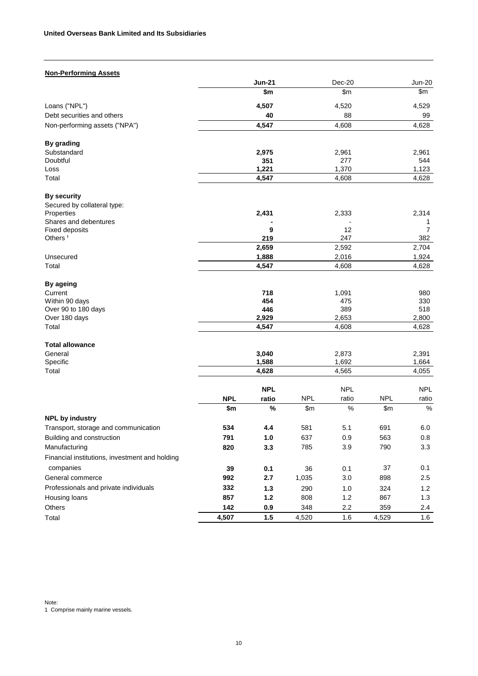| <b>Non-Performing Assets</b>                   |            |                |            |                |            |                       |
|------------------------------------------------|------------|----------------|------------|----------------|------------|-----------------------|
|                                                |            | <b>Jun-21</b>  |            | Dec-20         |            | <b>Jun-20</b>         |
|                                                |            | \$m            |            | \$m            |            | \$m                   |
| Loans ("NPL")                                  |            | 4,507          |            | 4,520          |            | 4,529                 |
| Debt securities and others                     |            | 40             |            | 88             |            | 99                    |
| Non-performing assets ("NPA")                  |            | 4,547          |            | 4,608          |            | 4,628                 |
| By grading                                     |            |                |            |                |            |                       |
| Substandard                                    |            | 2,975          |            | 2,961          |            | 2,961                 |
| Doubtful                                       |            | 351            |            | 277            |            | 544                   |
| Loss<br>Total                                  |            | 1,221          |            | 1,370          |            | 1,123                 |
|                                                |            | 4,547          |            | 4,608          |            | 4,628                 |
| <b>By security</b>                             |            |                |            |                |            |                       |
| Secured by collateral type:                    |            |                |            |                |            |                       |
| Properties                                     |            | 2,431          |            | 2,333          |            | 2,314                 |
| Shares and debentures                          |            |                |            |                |            | 1                     |
| Fixed deposits<br>Others <sup>1</sup>          |            | 9<br>219       |            | 12<br>247      |            | $\overline{7}$<br>382 |
|                                                |            | 2,659          |            | 2,592          |            | 2,704                 |
| Unsecured                                      |            | 1,888          |            | 2,016          |            | 1,924                 |
| Total                                          |            | 4,547          |            | 4,608          |            | 4,628                 |
|                                                |            |                |            |                |            |                       |
| By ageing                                      |            |                |            |                |            |                       |
| Current                                        |            | 718            |            | 1,091          |            | 980                   |
| Within 90 days                                 |            | 454<br>446     |            | 475<br>389     |            | 330<br>518            |
| Over 90 to 180 days<br>Over 180 days           |            | 2,929          |            | 2,653          |            | 2,800                 |
| Total                                          |            | 4,547          |            | 4,608          |            | 4,628                 |
|                                                |            |                |            |                |            |                       |
| <b>Total allowance</b>                         |            |                |            |                |            |                       |
| General<br>Specific                            |            | 3,040          |            | 2,873          |            | 2,391                 |
| Total                                          |            | 1,588<br>4,628 |            | 1,692<br>4,565 |            | 1,664<br>4,055        |
|                                                |            |                |            |                |            |                       |
|                                                |            | <b>NPL</b>     |            | <b>NPL</b>     |            | <b>NPL</b>            |
|                                                | <b>NPL</b> | ratio          | <b>NPL</b> | ratio          | <b>NPL</b> | ratio                 |
| <b>NPL by industry</b>                         | \$m        | %              | \$m\$      | $\frac{0}{0}$  | \$m        | $\%$                  |
|                                                |            |                |            |                |            |                       |
| Transport, storage and communication           | 534        | 4.4            | 581        | 5.1            | 691        | 6.0                   |
| Building and construction                      | 791        | $1.0$          | 637        | 0.9            | 563        | 0.8                   |
| Manufacturing                                  | 820        | 3.3            | 785        | 3.9            | 790        | 3.3                   |
| Financial institutions, investment and holding |            |                |            |                |            |                       |
| companies                                      | 39         | 0.1            | 36         | 0.1            | 37         | 0.1                   |
| General commerce                               | 992        | 2.7            | 1,035      | $3.0\,$        | 898        | 2.5                   |
| Professionals and private individuals          | 332        | $1.3$          | 290        | 1.0            | 324        | 1.2                   |
| Housing loans                                  | 857        | $1.2$          | 808        | 1.2            | 867        | 1.3                   |
| Others                                         | 142        | 0.9            | 348        | 2.2            | 359        | 2.4                   |
| Total                                          | 4,507      | 1.5            | 4,520      | 1.6            | 4,529      | 1.6                   |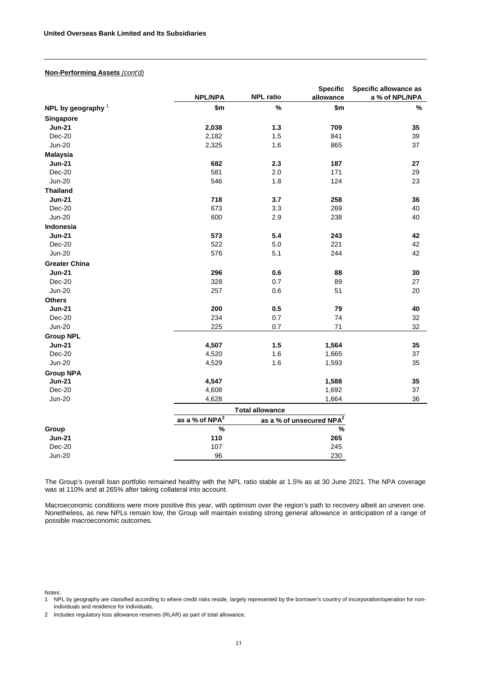### **Non-Performing Assets** *(cont'd)*

|                      |                              |                                      | <b>Specific</b> | Specific allowance as |
|----------------------|------------------------------|--------------------------------------|-----------------|-----------------------|
|                      | <b>NPL/NPA</b>               | <b>NPL ratio</b>                     | allowance       | a % of NPL/NPA        |
| NPL by geography $1$ | \$m\$                        | $\%$                                 | \$m\$           | $\%$                  |
| Singapore            |                              |                                      |                 |                       |
| <b>Jun-21</b>        | 2,038                        | $1.3$                                | 709             | 35                    |
| Dec-20               | 2,182                        | 1.5                                  | 841             | 39                    |
| <b>Jun-20</b>        | 2,325                        | 1.6                                  | 865             | 37                    |
| <b>Malaysia</b>      |                              |                                      |                 |                       |
| <b>Jun-21</b>        | 682                          | 2.3                                  | 187             | 27                    |
| Dec-20               | 581                          | 2.0                                  | 171             | 29                    |
| <b>Jun-20</b>        | 546                          | 1.8                                  | 124             | 23                    |
| <b>Thailand</b>      |                              |                                      |                 |                       |
| <b>Jun-21</b>        | 718                          | 3.7                                  | 258             | 36                    |
| Dec-20               | 673                          | 3.3                                  | 269             | 40                    |
| <b>Jun-20</b>        | 600                          | 2.9                                  | 238             | 40                    |
| Indonesia            |                              |                                      |                 |                       |
| <b>Jun-21</b>        | 573                          | 5.4                                  | 243             | 42                    |
| Dec-20               | 522                          | 5.0                                  | 221             | 42                    |
| <b>Jun-20</b>        | 576                          | 5.1                                  | 244             | 42                    |
| <b>Greater China</b> |                              |                                      |                 |                       |
| <b>Jun-21</b>        | 296                          | 0.6                                  | 88              | 30                    |
| Dec-20               | 328                          | 0.7                                  | 89              | 27                    |
| <b>Jun-20</b>        | 257                          | 0.6                                  | 51              | 20                    |
| <b>Others</b>        |                              |                                      |                 |                       |
| <b>Jun-21</b>        | 200                          | 0.5                                  | 79              | 40                    |
| Dec-20               | 234                          | 0.7                                  | 74              | 32                    |
| <b>Jun-20</b>        | 225                          | 0.7                                  | 71              | 32                    |
| <b>Group NPL</b>     |                              |                                      |                 |                       |
| <b>Jun-21</b>        | 4,507                        | 1.5                                  | 1,564           | 35                    |
| Dec-20               | 4,520                        | 1.6                                  | 1,665           | 37                    |
| <b>Jun-20</b>        | 4,529                        | 1.6                                  | 1,593           | 35                    |
| <b>Group NPA</b>     |                              |                                      |                 |                       |
| <b>Jun-21</b>        | 4,547                        |                                      | 1,588           | 35                    |
| Dec-20               | 4,608                        |                                      | 1,692           | 37                    |
| <b>Jun-20</b>        | 4,628                        |                                      | 1,664           | 36                    |
|                      |                              | <b>Total allowance</b>               |                 |                       |
|                      | as a % of $NP\overline{A^2}$ | as a % of unsecured NPA <sup>2</sup> |                 |                       |
| Group                | $\frac{9}{6}$                |                                      | $\frac{9}{6}$   |                       |
| <b>Jun-21</b>        | 110                          |                                      | 265             |                       |
| Dec-20               | 107                          |                                      | 245             |                       |
| <b>Jun-20</b>        | 96                           |                                      | 230             |                       |

The Group's overall loan portfolio remained healthy with the NPL ratio stable at 1.5% as at 30 June 2021. The NPA coverage was at 110% and at 265% after taking collateral into account.

Macroeconomic conditions were more positive this year, with optimism over the region's path to recovery albeit an uneven one. Nonetheless, as new NPLs remain low, the Group will maintain existing strong general allowance in anticipation of a range of possible macroeconomic outcomes.

Notes:

2 Includes regulatory loss allowance reserves (RLAR) as part of total allowance.

<sup>1</sup> NPL by geography are classified according to where credit risks reside, largely represented by the borrower's country of incorporation/operation for nonindividuals and residence for individuals.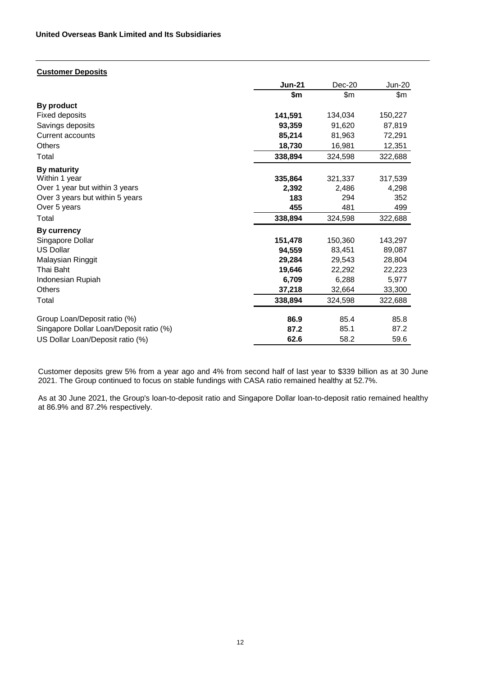# **Customer Deposits**

|                                         | <b>Jun-21</b> | $Dec-20$ | Jun-20  |
|-----------------------------------------|---------------|----------|---------|
|                                         | \$m           | \$m      | \$m     |
| By product                              |               |          |         |
| <b>Fixed deposits</b>                   | 141,591       | 134,034  | 150,227 |
| Savings deposits                        | 93,359        | 91,620   | 87,819  |
| Current accounts                        | 85,214        | 81,963   | 72,291  |
| <b>Others</b>                           | 18,730        | 16,981   | 12,351  |
| Total                                   | 338,894       | 324,598  | 322,688 |
| <b>By maturity</b>                      |               |          |         |
| Within 1 year                           | 335,864       | 321,337  | 317,539 |
| Over 1 year but within 3 years          | 2,392         | 2,486    | 4,298   |
| Over 3 years but within 5 years         | 183           | 294      | 352     |
| Over 5 years                            | 455           | 481      | 499     |
| Total                                   | 338,894       | 324,598  | 322,688 |
| By currency                             |               |          |         |
| Singapore Dollar                        | 151,478       | 150,360  | 143,297 |
| <b>US Dollar</b>                        | 94,559        | 83,451   | 89,087  |
| Malaysian Ringgit                       | 29,284        | 29,543   | 28,804  |
| Thai Baht                               | 19,646        | 22,292   | 22,223  |
| Indonesian Rupiah                       | 6,709         | 6,288    | 5,977   |
| <b>Others</b>                           | 37,218        | 32,664   | 33,300  |
| Total                                   | 338,894       | 324,598  | 322,688 |
| Group Loan/Deposit ratio (%)            | 86.9          | 85.4     | 85.8    |
| Singapore Dollar Loan/Deposit ratio (%) | 87.2          | 85.1     | 87.2    |
| US Dollar Loan/Deposit ratio (%)        | 62.6          | 58.2     | 59.6    |

Customer deposits grew 5% from a year ago and 4% from second half of last year to \$339 billion as at 30 June 2021. The Group continued to focus on stable fundings with CASA ratio remained healthy at 52.7%.

As at 30 June 2021, the Group's loan-to-deposit ratio and Singapore Dollar loan-to-deposit ratio remained healthy at 86.9% and 87.2% respectively.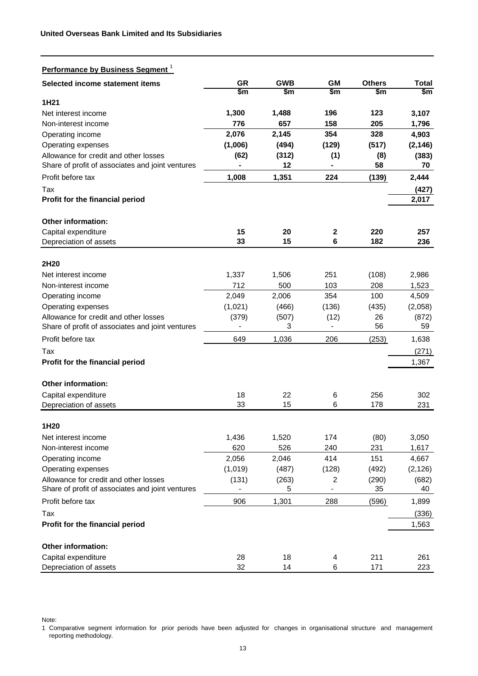| Performance by Business Segment <sup>1</sup>                |               |             |             |               |                   |
|-------------------------------------------------------------|---------------|-------------|-------------|---------------|-------------------|
| Selected income statement items                             | GR            | <b>GWB</b>  | <b>GM</b>   | <b>Others</b> | <b>Total</b>      |
|                                                             | $\mathsf{Sm}$ | \$m         | \$m         | \$m           | $\frac{2}{3}$     |
| 1H21                                                        |               |             |             |               |                   |
| Net interest income                                         | 1,300         | 1,488       | 196         | 123           | 3,107             |
| Non-interest income                                         | 776           | 657         | 158         | 205           | 1,796             |
| Operating income                                            | 2,076         | 2,145       | 354         | 328           | 4,903             |
| Operating expenses<br>Allowance for credit and other losses | (1,006)       | (494)       | (129)       | (517)         | (2, 146)<br>(383) |
| Share of profit of associates and joint ventures            | (62)          | (312)<br>12 | (1)         | (8)<br>58     | 70                |
| Profit before tax                                           | 1,008         | 1,351       | 224         | (139)         | 2,444             |
| Tax                                                         |               |             |             |               | (427)             |
| Profit for the financial period                             |               |             |             |               | 2,017             |
| <b>Other information:</b>                                   |               |             |             |               |                   |
| Capital expenditure                                         | 15            | 20          | $\mathbf 2$ | 220           | 257               |
| Depreciation of assets                                      | 33            | 15          | 6           | 182           | 236               |
| 2H20                                                        |               |             |             |               |                   |
| Net interest income                                         | 1,337         | 1,506       | 251         | (108)         | 2,986             |
| Non-interest income                                         | 712           | 500         | 103         | 208           | 1,523             |
| Operating income                                            | 2,049         | 2,006       | 354         | 100           | 4,509             |
| Operating expenses                                          | (1,021)       | (466)       | (136)       | (435)         | (2,058)           |
| Allowance for credit and other losses                       | (379)         | (507)       | (12)        | 26            | (872)             |
| Share of profit of associates and joint ventures            |               | 3           |             | 56            | 59                |
| Profit before tax                                           | 649           | 1,036       | 206         | (253)         | 1,638             |
| Tax                                                         |               |             |             |               | (271)             |
| Profit for the financial period                             |               |             |             |               | 1,367             |
| Other information:                                          |               |             |             |               |                   |
| Capital expenditure                                         | 18            | 22          | 6           | 256           | 302               |
| Depreciation of assets                                      | 33            | 15          | 6           | 178           | 231               |
| 1H20                                                        |               |             |             |               |                   |
| Net interest income                                         | 1,436         | 1,520       | 174         | (80)          | 3,050             |
| Non-interest income                                         | 620           | 526         | 240         | 231           | 1,617             |
| Operating income                                            | 2,056         | 2,046       | 414         | 151           | 4,667             |
| Operating expenses                                          | (1,019)       | (487)       | (128)       | (492)         | (2, 126)          |
| Allowance for credit and other losses                       | (131)         | (263)       | 2           | (290)         | (682)             |
| Share of profit of associates and joint ventures            |               | 5           |             | 35            | 40                |
| Profit before tax                                           | 906           | 1,301       | 288         | (596)         | 1,899             |
| Tax                                                         |               |             |             |               | (336)             |
| Profit for the financial period                             |               |             |             |               | 1,563             |
| Other information:                                          |               |             |             |               |                   |
| Capital expenditure                                         | 28            | 18          | 4           | 211           | 261               |
| Depreciation of assets                                      | 32            | 14          | 6           | 171           | 223               |

Note:

 $\overline{a}$ 

1 Comparative segment information for prior periods have been adjusted for changes in organisational structure and management reporting methodology.

Depreciation of assets 32 14 6 171 223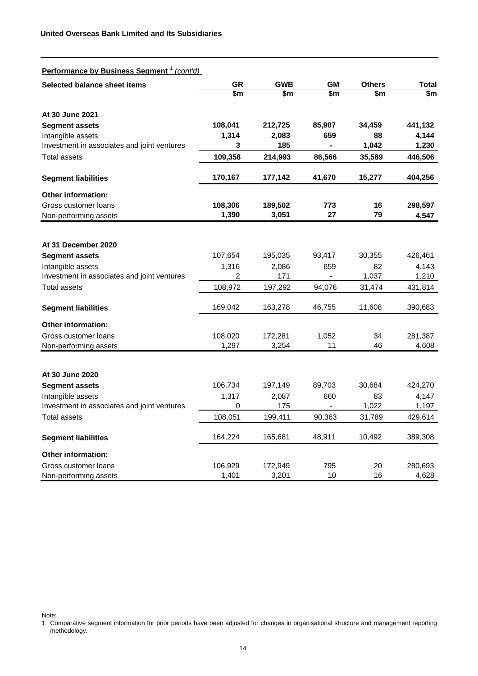| <b>Performance by Business Segment</b> <sup>1</sup> (cont'd) |         |            |        |               |         |
|--------------------------------------------------------------|---------|------------|--------|---------------|---------|
| Selected balance sheet items                                 | GR      | <b>GWB</b> | GМ     | <b>Others</b> | Total   |
|                                                              | \$m     | \$m        | \$m    | \$m           | \$m     |
| At 30 June 2021                                              |         |            |        |               |         |
| <b>Segment assets</b>                                        | 108,041 | 212,725    | 85,907 | 34,459        | 441,132 |
| Intangible assets                                            | 1,314   | 2,083      | 659    | 88            | 4,144   |
| Investment in associates and joint ventures                  | 3       | 185        |        | 1,042         | 1,230   |
| <b>Total assets</b>                                          | 109,358 | 214,993    | 86,566 | 35,589        | 446,506 |
| <b>Segment liabilities</b>                                   | 170,167 | 177,142    | 41,670 | 15,277        | 404,256 |
| Other information:                                           |         |            |        |               |         |
| Gross customer loans                                         | 108,306 | 189,502    | 773    | 16            | 298,597 |
| Non-performing assets                                        | 1,390   | 3,051      | 27     | 79            | 4,547   |
|                                                              |         |            |        |               |         |
| At 31 December 2020                                          |         |            |        |               |         |
| <b>Segment assets</b>                                        | 107,654 | 195,035    | 93,417 | 30,355        | 426,461 |
| Intangible assets                                            | 1,316   | 2,086      | 659    | 82            | 4,143   |
| Investment in associates and joint ventures                  | 2       | 171        |        | 1,037         | 1,210   |
| Total assets                                                 | 108,972 | 197,292    | 94,076 | 31,474        | 431,814 |
| <b>Segment liabilities</b>                                   | 169,042 | 163,278    | 46,755 | 11,608        | 390,683 |
| <b>Other information:</b>                                    |         |            |        |               |         |
| Gross customer loans                                         | 108,020 | 172,281    | 1,052  | 34            | 281,387 |
| Non-performing assets                                        | 1,297   | 3,254      | 11     | 46            | 4,608   |
|                                                              |         |            |        |               |         |
| At 30 June 2020                                              |         |            |        |               |         |
| <b>Segment assets</b>                                        | 106,734 | 197,149    | 89,703 | 30,684        | 424,270 |
| Intangible assets                                            | 1,317   | 2,087      | 660    | 83            | 4,147   |
| Investment in associates and joint ventures                  | 0       | 175        |        | 1,022         | 1,197   |
| <b>Total assets</b>                                          | 108,051 | 199,411    | 90,363 | 31,789        | 429,614 |
| <b>Segment liabilities</b>                                   | 164,224 | 165,681    | 48,911 | 10,492        | 389,308 |
| <b>Other information:</b>                                    |         |            |        |               |         |
| Gross customer loans                                         | 106,929 | 172,949    | 795    | 20            | 280,693 |
| Non-performing assets                                        | 1,401   | 3,201      | 10     | 16            | 4,628   |

Note:

<sup>1</sup> Comparative segment information for prior periods have been adjusted for changes in organisational structure and management reporting methodology.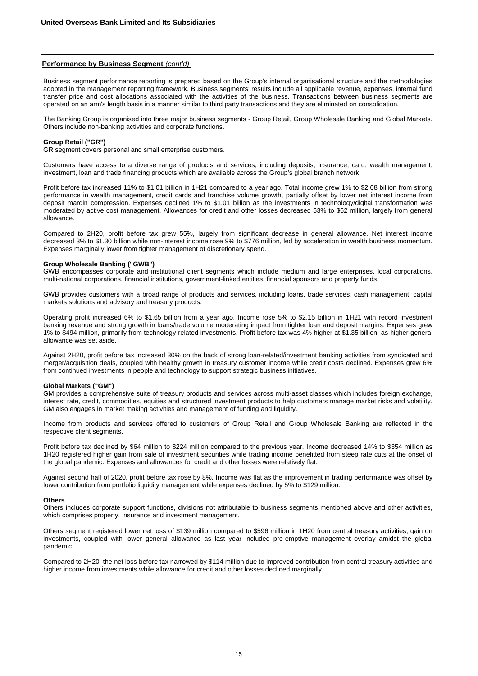#### **Performance by Business Segment** *(cont'd)*

Business segment performance reporting is prepared based on the Group's internal organisational structure and the methodologies adopted in the management reporting framework. Business segments' results include all applicable revenue, expenses, internal fund transfer price and cost allocations associated with the activities of the business. Transactions between business segments are operated on an arm's length basis in a manner similar to third party transactions and they are eliminated on consolidation.

The Banking Group is organised into three major business segments - Group Retail, Group Wholesale Banking and Global Markets. Others include non-banking activities and corporate functions.

#### **Group Retail ("GR")**

GR segment covers personal and small enterprise customers.

Customers have access to a diverse range of products and services, including deposits, insurance, card, wealth management, investment, loan and trade financing products which are available across the Group's global branch network.

Profit before tax increased 11% to \$1.01 billion in 1H21 compared to a year ago. Total income grew 1% to \$2.08 billion from strong performance in wealth management, credit cards and franchise volume growth, partially offset by lower net interest income from deposit margin compression. Expenses declined 1% to \$1.01 billion as the investments in technology/digital transformation was moderated by active cost management. Allowances for credit and other losses decreased 53% to \$62 million, largely from general allowance.

Compared to 2H20, profit before tax grew 55%, largely from significant decrease in general allowance. Net interest income decreased 3% to \$1.30 billion while non-interest income rose 9% to \$776 million, led by acceleration in wealth business momentum. Expenses marginally lower from tighter management of discretionary spend.

### **Group Wholesale Banking ("GWB")**

GWB encompasses corporate and institutional client segments which include medium and large enterprises, local corporations, multi-national corporations, financial institutions, government-linked entities, financial sponsors and property funds.

GWB provides customers with a broad range of products and services, including loans, trade services, cash management, capital markets solutions and advisory and treasury products.

Operating profit increased 6% to \$1.65 billion from a year ago. Income rose 5% to \$2.15 billion in 1H21 with record investment banking revenue and strong growth in loans/trade volume moderating impact from tighter loan and deposit margins. Expenses grew 1% to \$494 million, primarily from technology-related investments. Profit before tax was 4% higher at \$1.35 billion, as higher general allowance was set aside.

Against 2H20, profit before tax increased 30% on the back of strong loan-related/investment banking activities from syndicated and merger/acquisition deals, coupled with healthy growth in treasury customer income while credit costs declined. Expenses grew 6% from continued investments in people and technology to support strategic business initiatives.

### **Global Markets ("GM")**

GM provides a comprehensive suite of treasury products and services across multi-asset classes which includes foreign exchange, interest rate, credit, commodities, equities and structured investment products to help customers manage market risks and volatility. GM also engages in market making activities and management of funding and liquidity.

Income from products and services offered to customers of Group Retail and Group Wholesale Banking are reflected in the respective client segments.

Profit before tax declined by \$64 million to \$224 million compared to the previous year. Income decreased 14% to \$354 million as 1H20 registered higher gain from sale of investment securities while trading income benefitted from steep rate cuts at the onset of the global pandemic. Expenses and allowances for credit and other losses were relatively flat.

Against second half of 2020, profit before tax rose by 8%. Income was flat as the improvement in trading performance was offset by lower contribution from portfolio liquidity management while expenses declined by 5% to \$129 million.

#### **Others**

Others includes corporate support functions, divisions not attributable to business segments mentioned above and other activities, which comprises property, insurance and investment management.

Others segment registered lower net loss of \$139 million compared to \$596 million in 1H20 from central treasury activities, gain on investments, coupled with lower general allowance as last year included pre-emptive management overlay amidst the global pandemic.

Compared to 2H20, the net loss before tax narrowed by \$114 million due to improved contribution from central treasury activities and higher income from investments while allowance for credit and other losses declined marginally.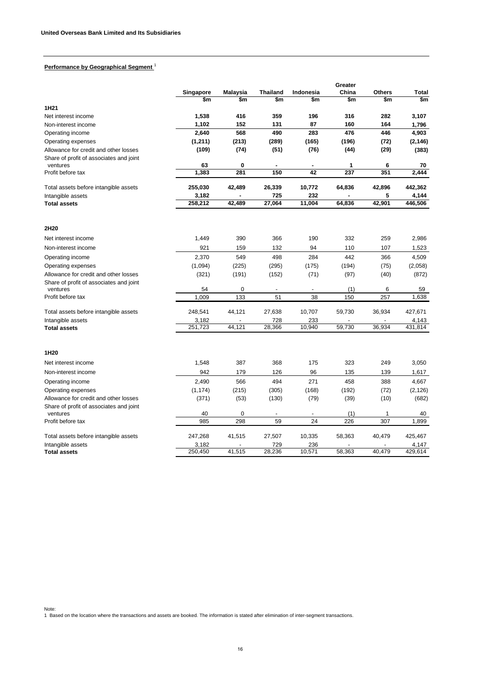# **Performance by Geographical Segment** <sup>1</sup>

|                                                                                  |             |                    |                          |                      | Greater    |               |              |
|----------------------------------------------------------------------------------|-------------|--------------------|--------------------------|----------------------|------------|---------------|--------------|
|                                                                                  | Singapore   | <b>Malaysia</b>    | <b>Thailand</b>          | Indonesia            | China      | <b>Others</b> | <b>Total</b> |
|                                                                                  | \$m         | \$m                | $\frac{2}{3}$            | \$m                  | \$m        | \$m           | \$m          |
| 1H <sub>21</sub>                                                                 |             |                    |                          |                      |            |               |              |
| Net interest income                                                              | 1,538       | 416                | 359                      | 196                  | 316        | 282           | 3,107        |
| Non-interest income                                                              | 1,102       | 152                | 131                      | 87                   | 160        | 164           | 1,796        |
| Operating income                                                                 | 2,640       | 568                | 490                      | 283                  | 476        | 446           | 4,903        |
| Operating expenses                                                               | (1, 211)    | (213)              | (289)                    | (165)                | (196)      | (72)          | (2, 146)     |
| Allowance for credit and other losses                                            | (109)       | (74)               | (51)                     | (76)                 | (44)       | (29)          | (383)        |
| Share of profit of associates and joint                                          |             |                    |                          |                      |            |               |              |
| ventures<br>Profit before tax                                                    | 63          | $\mathbf 0$<br>281 | $\blacksquare$<br>150    | $\blacksquare$<br>42 | 1<br>237   | 6<br>351      | 70           |
|                                                                                  | 1,383       |                    |                          |                      |            |               | 2,444        |
| Total assets before intangible assets                                            | 255,030     | 42,489             | 26,339                   | 10,772               | 64,836     | 42,896        | 442,362      |
| Intangible assets                                                                | 3,182       |                    | 725                      | 232                  |            | 5             | 4,144        |
| <b>Total assets</b>                                                              | 258,212     | 42,489             | 27,064                   | 11,004               | 64,836     | 42,901        | 446,506      |
|                                                                                  |             |                    |                          |                      |            |               |              |
| 2H20                                                                             |             |                    |                          |                      |            |               |              |
| Net interest income                                                              | 1,449       | 390                | 366                      | 190                  | 332        | 259           | 2,986        |
| Non-interest income                                                              | 921         | 159                | 132                      | 94                   | 110        | 107           | 1,523        |
| Operating income                                                                 | 2,370       | 549                | 498                      | 284                  | 442        | 366           | 4,509        |
| Operating expenses                                                               | (1,094)     | (225)              | (295)                    | (175)                | (194)      | (75)          | (2,058)      |
| Allowance for credit and other losses                                            | (321)       | (191)              | (152)                    | (71)                 | (97)       | (40)          | (872)        |
| Share of profit of associates and joint                                          |             |                    |                          |                      |            |               |              |
| ventures<br>Profit before tax                                                    | 54<br>1,009 | $\Omega$<br>133    | $\overline{a}$<br>51     | 38                   | (1)<br>150 | 6<br>257      | 59<br>1,638  |
|                                                                                  |             |                    |                          |                      |            |               |              |
| Total assets before intangible assets                                            | 248,541     | 44,121             | 27,638                   | 10,707               | 59,730     | 36,934        | 427,671      |
| Intangible assets                                                                | 3,182       |                    | 728                      | 233                  |            |               | 4,143        |
| <b>Total assets</b>                                                              | 251,723     | 44.121             | 28,366                   | 10.940               | 59.730     | 36.934        | 431.814      |
|                                                                                  |             |                    |                          |                      |            |               |              |
| 1H20                                                                             |             |                    |                          |                      |            |               |              |
| Net interest income                                                              | 1,548       | 387                | 368                      | 175                  | 323        | 249           | 3,050        |
| Non-interest income                                                              | 942         | 179                | 126                      | 96                   | 135        | 139           | 1,617        |
| Operating income                                                                 | 2,490       | 566                | 494                      | 271                  | 458        | 388           | 4,667        |
| Operating expenses                                                               | (1, 174)    | (215)              | (305)                    | (168)                | (192)      | (72)          | (2, 126)     |
| Allowance for credit and other losses<br>Share of profit of associates and joint | (371)       | (53)               | (130)                    | (79)                 | (39)       | (10)          | (682)        |
| ventures                                                                         | 40          | $\mathbf 0$        | $\overline{\phantom{a}}$ | $\blacksquare$       | (1)        | 1             | 40           |
| Profit before tax                                                                | 985         | 298                | 59                       | 24                   | 226        | 307           | 1,899        |
| Total assets before intangible assets                                            | 247,268     | 41,515             | 27,507                   | 10,335               | 58,363     | 40,479        | 425,467      |
| Intangible assets                                                                | 3,182       |                    | 729                      | 236                  |            |               | 4,147        |
| <b>Total assets</b>                                                              | 250.450     | 41,515             | 28.236                   | 10.571               | 58.363     | 40.479        | 429.614      |

Note: 1 Based on the location where the transactions and assets are booked. The information is stated after elimination of inter-segment transactions.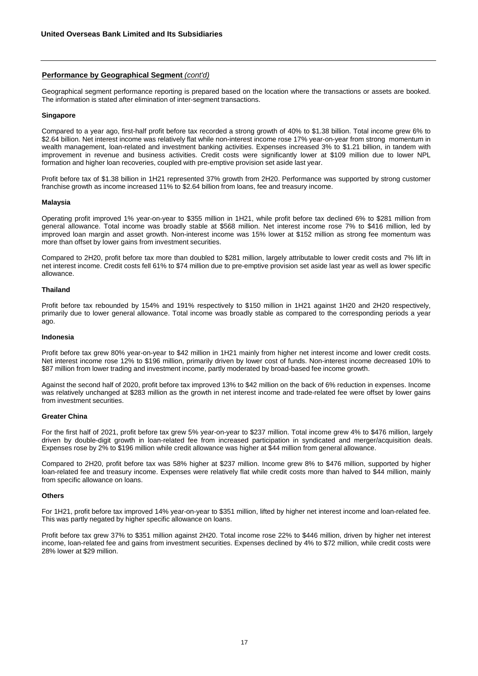## **Performance by Geographical Segment** *(cont'd)*

Geographical segment performance reporting is prepared based on the location where the transactions or assets are booked. The information is stated after elimination of inter-segment transactions.

### **Singapore**

Compared to a year ago, first-half profit before tax recorded a strong growth of 40% to \$1.38 billion. Total income grew 6% to \$2.64 billion. Net interest income was relatively flat while non-interest income rose 17% year-on-year from strong momentum in wealth management, loan-related and investment banking activities. Expenses increased 3% to \$1.21 billion, in tandem with improvement in revenue and business activities. Credit costs were significantly lower at \$109 million due to lower NPL formation and higher loan recoveries, coupled with pre-emptive provision set aside last year.

Profit before tax of \$1.38 billion in 1H21 represented 37% growth from 2H20. Performance was supported by strong customer franchise growth as income increased 11% to \$2.64 billion from loans, fee and treasury income.

### **Malaysia**

Operating profit improved 1% year-on-year to \$355 million in 1H21, while profit before tax declined 6% to \$281 million from general allowance. Total income was broadly stable at \$568 million. Net interest income rose 7% to \$416 million, led by improved loan margin and asset growth. Non-interest income was 15% lower at \$152 million as strong fee momentum was more than offset by lower gains from investment securities.

Compared to 2H20, profit before tax more than doubled to \$281 million, largely attributable to lower credit costs and 7% lift in net interest income. Credit costs fell 61% to \$74 million due to pre-emptive provision set aside last year as well as lower specific allowance.

### **Thailand**

Profit before tax rebounded by 154% and 191% respectively to \$150 million in 1H21 against 1H20 and 2H20 respectively, primarily due to lower general allowance. Total income was broadly stable as compared to the corresponding periods a year ago.

### **Indonesia**

Profit before tax grew 80% year-on-year to \$42 million in 1H21 mainly from higher net interest income and lower credit costs. Net interest income rose 12% to \$196 million, primarily driven by lower cost of funds. Non-interest income decreased 10% to \$87 million from lower trading and investment income, partly moderated by broad-based fee income growth.

Against the second half of 2020, profit before tax improved 13% to \$42 million on the back of 6% reduction in expenses. Income was relatively unchanged at \$283 million as the growth in net interest income and trade-related fee were offset by lower gains from investment securities.

### **Greater China**

For the first half of 2021, profit before tax grew 5% year-on-year to \$237 million. Total income grew 4% to \$476 million, largely driven by double-digit growth in loan-related fee from increased participation in syndicated and merger/acquisition deals. Expenses rose by 2% to \$196 million while credit allowance was higher at \$44 million from general allowance.

Compared to 2H20, profit before tax was 58% higher at \$237 million. Income grew 8% to \$476 million, supported by higher loan-related fee and treasury income. Expenses were relatively flat while credit costs more than halved to \$44 million, mainly from specific allowance on loans.

### **Others**

For 1H21, profit before tax improved 14% year-on-year to \$351 million, lifted by higher net interest income and loan-related fee. This was partly negated by higher specific allowance on loans.

Profit before tax grew 37% to \$351 million against 2H20. Total income rose 22% to \$446 million, driven by higher net interest income, loan-related fee and gains from investment securities. Expenses declined by 4% to \$72 million, while credit costs were 28% lower at \$29 million.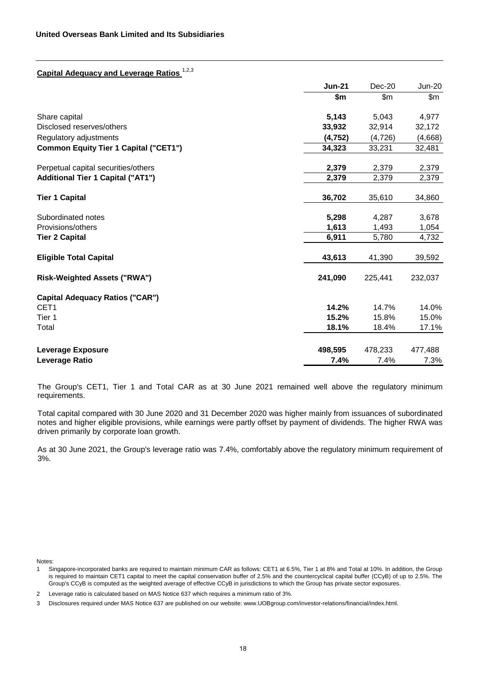# **Capital Adequacy and Leverage Ratios** 1,2,3

|                                              | <b>Jun-21</b> | Dec-20   | <b>Jun-20</b> |
|----------------------------------------------|---------------|----------|---------------|
|                                              | \$m           | \$m\$    | \$m           |
| Share capital                                | 5,143         | 5,043    | 4,977         |
| Disclosed reserves/others                    | 33,932        | 32,914   | 32,172        |
| Regulatory adjustments                       | (4, 752)      | (4, 726) | (4,668)       |
| <b>Common Equity Tier 1 Capital ("CET1")</b> | 34,323        | 33,231   | 32,481        |
| Perpetual capital securities/others          | 2,379         | 2,379    | 2,379         |
| <b>Additional Tier 1 Capital ("AT1")</b>     | 2,379         | 2,379    | 2,379         |
| <b>Tier 1 Capital</b>                        | 36,702        | 35,610   | 34,860        |
| Subordinated notes                           | 5,298         | 4,287    | 3,678         |
| Provisions/others                            | 1,613         | 1,493    | 1,054         |
| <b>Tier 2 Capital</b>                        | 6,911         | 5,780    | 4,732         |
| <b>Eligible Total Capital</b>                | 43,613        | 41,390   | 39,592        |
| <b>Risk-Weighted Assets ("RWA")</b>          | 241,090       | 225,441  | 232,037       |
| <b>Capital Adequacy Ratios ("CAR")</b>       |               |          |               |
| CET <sub>1</sub>                             | 14.2%         | 14.7%    | 14.0%         |
| Tier 1                                       | 15.2%         | 15.8%    | 15.0%         |
| Total                                        | 18.1%         | 18.4%    | 17.1%         |
| <b>Leverage Exposure</b>                     | 498,595       | 478,233  | 477,488       |
| Leverage Ratio                               | 7.4%          | 7.4%     | 7.3%          |

The Group's CET1, Tier 1 and Total CAR as at 30 June 2021 remained well above the regulatory minimum requirements.

Total capital compared with 30 June 2020 and 31 December 2020 was higher mainly from issuances of subordinated notes and higher eligible provisions, while earnings were partly offset by payment of dividends. The higher RWA was driven primarily by corporate loan growth.

As at 30 June 2021, the Group's leverage ratio was 7.4%, comfortably above the regulatory minimum requirement of 3%.

Notes:

<sup>1</sup> Singapore-incorporated banks are required to maintain minimum CAR as follows: CET1 at 6.5%, Tier 1 at 8% and Total at 10%. In addition, the Group is required to maintain CET1 capital to meet the capital conservation buffer of 2.5% and the countercyclical capital buffer (CCyB) of up to 2.5%. The Group's CCyB is computed as the weighted average of effective CCyB in jurisdictions to which the Group has private sector exposures.

<sup>2</sup> Leverage ratio is calculated based on MAS Notice 637 which requires a minimum ratio of 3%.

<sup>3</sup> Disclosures required under MAS Notice 637 are published on our website: www.UOBgroup.com/investor-relations/financial/index.html.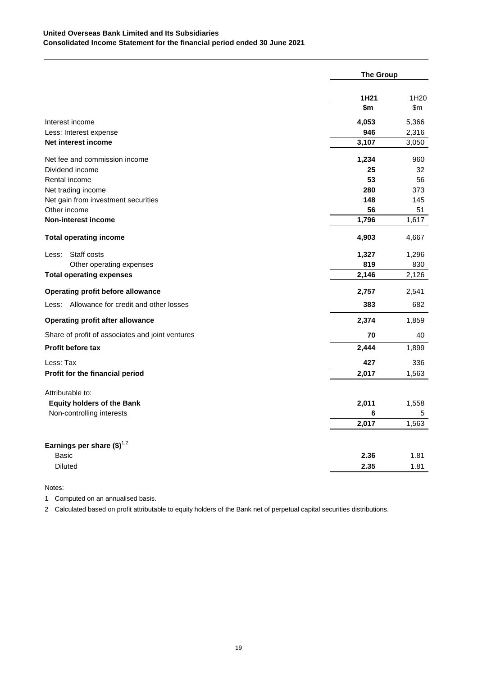|                                                  | <b>The Group</b> |                  |
|--------------------------------------------------|------------------|------------------|
|                                                  | 1H <sub>21</sub> | 1H <sub>20</sub> |
|                                                  | \$m              | \$m              |
| Interest income                                  | 4,053            | 5,366            |
| Less: Interest expense                           | 946              | 2,316            |
| Net interest income                              | 3,107            | 3,050            |
| Net fee and commission income                    | 1,234            | 960              |
| Dividend income                                  | 25               | 32               |
| Rental income                                    | 53               | 56               |
| Net trading income                               | 280              | 373              |
| Net gain from investment securities              | 148              | 145              |
| Other income                                     | 56               | 51               |
| Non-interest income                              | 1,796            | 1,617            |
| <b>Total operating income</b>                    | 4,903            | 4,667            |
| Staff costs<br>Less:                             | 1,327            | 1,296            |
| Other operating expenses                         | 819              | 830              |
| <b>Total operating expenses</b>                  | 2,146            | 2,126            |
| Operating profit before allowance                | 2,757            | 2,541            |
| Less: Allowance for credit and other losses      | 383              | 682              |
| <b>Operating profit after allowance</b>          | 2,374            | 1,859            |
| Share of profit of associates and joint ventures | 70               | 40               |
| <b>Profit before tax</b>                         | 2,444            | 1,899            |
| Less: Tax                                        | 427              | 336              |
| Profit for the financial period                  | 2,017            | 1,563            |
| Attributable to:                                 |                  |                  |
| <b>Equity holders of the Bank</b>                | 2,011            | 1,558            |
| Non-controlling interests                        | 6                | 5                |
|                                                  | 2,017            | 1,563            |
| Earnings per share $(\$)^{1,2}$                  |                  |                  |
| <b>Basic</b>                                     | 2.36             | 1.81             |
| <b>Diluted</b>                                   | 2.35             | 1.81             |
|                                                  |                  |                  |

# Notes:

1 Computed on an annualised basis.

2 Calculated based on profit attributable to equity holders of the Bank net of perpetual capital securities distributions.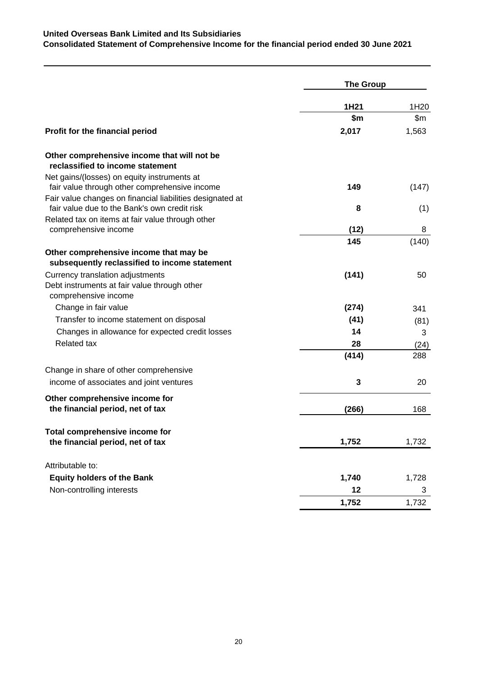|                                                                                                                                                           | <b>The Group</b> |                  |  |
|-----------------------------------------------------------------------------------------------------------------------------------------------------------|------------------|------------------|--|
|                                                                                                                                                           | 1H <sub>21</sub> | 1H <sub>20</sub> |  |
|                                                                                                                                                           | \$m              | \$m              |  |
| Profit for the financial period                                                                                                                           | 2,017            | 1,563            |  |
| Other comprehensive income that will not be<br>reclassified to income statement                                                                           |                  |                  |  |
| Net gains/(losses) on equity instruments at<br>fair value through other comprehensive income<br>Fair value changes on financial liabilities designated at | 149              | (147)            |  |
| fair value due to the Bank's own credit risk<br>Related tax on items at fair value through other                                                          | 8                | (1)              |  |
| comprehensive income                                                                                                                                      | (12)             | 8                |  |
|                                                                                                                                                           | 145              | (140)            |  |
| Other comprehensive income that may be<br>subsequently reclassified to income statement                                                                   |                  |                  |  |
| Currency translation adjustments<br>Debt instruments at fair value through other<br>comprehensive income                                                  | (141)            | 50               |  |
| Change in fair value                                                                                                                                      | (274)            | 341              |  |
| Transfer to income statement on disposal                                                                                                                  | (41)             | (81)             |  |
| Changes in allowance for expected credit losses                                                                                                           | 14               | 3                |  |
| <b>Related tax</b>                                                                                                                                        | 28               | (24)             |  |
|                                                                                                                                                           | (414)            | 288              |  |
| Change in share of other comprehensive                                                                                                                    |                  |                  |  |
| income of associates and joint ventures                                                                                                                   | 3                | 20               |  |
| Other comprehensive income for<br>the financial period, net of tax                                                                                        | (266)            | 168              |  |
| Total comprehensive income for                                                                                                                            |                  |                  |  |
| the financial period, net of tax                                                                                                                          | 1,752            | 1,732            |  |
| Attributable to:                                                                                                                                          |                  |                  |  |
| <b>Equity holders of the Bank</b>                                                                                                                         | 1,740            | 1,728            |  |
| Non-controlling interests                                                                                                                                 | 12               | 3                |  |
|                                                                                                                                                           | 1,752            | 1,732            |  |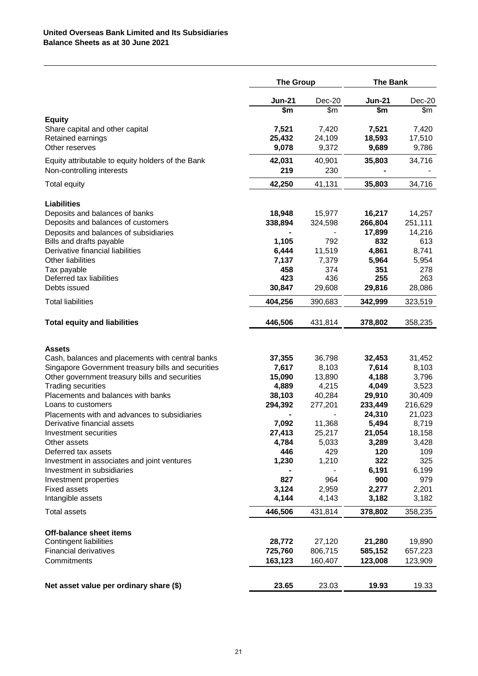|                                                                             | <b>The Group</b>         |                 | <b>The Bank</b>   |                 |
|-----------------------------------------------------------------------------|--------------------------|-----------------|-------------------|-----------------|
|                                                                             | <b>Jun-21</b>            | $Dec-20$        | <b>Jun-21</b>     | Dec-20          |
|                                                                             | $\overline{\mathsf{sm}}$ | \$m             | \$m               | \$m             |
| <b>Equity</b>                                                               |                          |                 |                   |                 |
| Share capital and other capital<br>Retained earnings                        | 7,521<br>25,432          | 7,420<br>24,109 | 7,521<br>18,593   | 7,420<br>17,510 |
| Other reserves                                                              | 9,078                    | 9,372           | 9,689             | 9,786           |
| Equity attributable to equity holders of the Bank                           | 42,031                   | 40,901          | 35,803            | 34,716          |
| Non-controlling interests                                                   | 219                      | 230             |                   |                 |
| <b>Total equity</b>                                                         | 42,250                   | 41,131          | 35,803            | 34,716          |
| <b>Liabilities</b>                                                          |                          |                 |                   |                 |
| Deposits and balances of banks                                              | 18,948                   | 15,977          | 16,217            | 14,257          |
| Deposits and balances of customers                                          | 338,894                  | 324,598         | 266,804           | 251,111         |
| Deposits and balances of subsidiaries                                       |                          |                 | 17,899            | 14,216          |
| Bills and drafts payable                                                    | 1,105                    | 792             | 832               | 613             |
| Derivative financial liabilities<br>Other liabilities                       | 6,444                    | 11,519          | 4,861             | 8,741           |
| Tax payable                                                                 | 7,137<br>458             | 7,379<br>374    | 5,964<br>351      | 5,954<br>278    |
| Deferred tax liabilities                                                    | 423                      | 436             | 255               | 263             |
| Debts issued                                                                | 30,847                   | 29,608          | 29,816            | 28,086          |
| <b>Total liabilities</b>                                                    | 404,256                  | 390,683         | 342,999           | 323,519         |
| <b>Total equity and liabilities</b>                                         | 446,506                  | 431,814         | 378,802           | 358,235         |
|                                                                             |                          |                 |                   |                 |
| <b>Assets</b><br>Cash, balances and placements with central banks           | 37,355                   | 36,798          | 32,453            | 31,452          |
| Singapore Government treasury bills and securities                          | 7,617                    | 8,103           | 7,614             | 8,103           |
| Other government treasury bills and securities                              | 15,090                   | 13,890          | 4,188             | 3,796           |
| <b>Trading securities</b>                                                   | 4,889                    | 4,215           | 4,049             | 3,523           |
| Placements and balances with banks                                          | 38,103                   | 40,284          | 29,910            | 30,409          |
| Loans to customers                                                          | 294,392                  | 277,201         | 233,449<br>24,310 | 216,629         |
| Placements with and advances to subsidiaries<br>Derivative financial assets | 7,092                    | 11,368          | 5,494             | 21,023<br>8,719 |
| Investment securities                                                       | 27,413                   | 25,217          | 21,054            | 18,158          |
| Other assets                                                                | 4,784                    | 5,033           | 3,289             | 3,428           |
| Deferred tax assets                                                         | 446                      | 429             | 120               | 109             |
| Investment in associates and joint ventures                                 | 1,230                    | 1,210           | 322               | 325             |
| Investment in subsidiaries                                                  |                          |                 | 6,191             | 6,199           |
| Investment properties<br><b>Fixed assets</b>                                | 827<br>3,124             | 964<br>2,959    | 900<br>2,277      | 979<br>2,201    |
| Intangible assets                                                           | 4,144                    | 4,143           | 3,182             | 3,182           |
| <b>Total assets</b>                                                         | 446,506                  | 431,814         | 378,802           | 358,235         |
| Off-balance sheet items                                                     |                          |                 |                   |                 |
| <b>Contingent liabilities</b>                                               | 28,772                   | 27,120          | 21,280            | 19,890          |
| <b>Financial derivatives</b>                                                | 725,760                  | 806,715         | 585,152           | 657,223         |
| Commitments                                                                 | 163,123                  | 160,407         | 123,008           | 123,909         |
|                                                                             |                          |                 |                   |                 |
| Net asset value per ordinary share (\$)                                     | 23.65                    | 23.03           | 19.93             | 19.33           |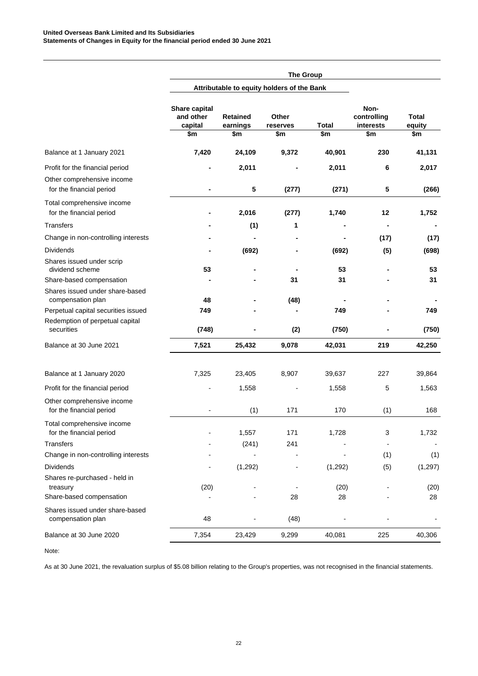|                                                                                           |                                              |                                            | <b>The Group</b>         |                |                                         |                        |
|-------------------------------------------------------------------------------------------|----------------------------------------------|--------------------------------------------|--------------------------|----------------|-----------------------------------------|------------------------|
|                                                                                           |                                              | Attributable to equity holders of the Bank |                          |                |                                         |                        |
|                                                                                           | Share capital<br>and other<br>capital<br>\$m | <b>Retained</b><br>earnings<br>\$m         | Other<br>reserves<br>\$m | Total<br>\$m   | Non-<br>controlling<br>interests<br>\$m | Total<br>equity<br>\$m |
| Balance at 1 January 2021                                                                 | 7,420                                        | 24,109                                     | 9,372                    | 40,901         | 230                                     | 41,131                 |
| Profit for the financial period<br>Other comprehensive income<br>for the financial period | ٠                                            | 2,011<br>5                                 | (277)                    | 2,011<br>(271) | 6<br>5                                  | 2,017<br>(266)         |
| Total comprehensive income<br>for the financial period<br><b>Transfers</b>                |                                              | 2,016<br>(1)                               | (277)<br>1               | 1,740          | 12                                      | 1,752                  |
| Change in non-controlling interests                                                       |                                              |                                            |                          |                | (17)                                    | (17)                   |
| <b>Dividends</b>                                                                          |                                              | (692)                                      |                          | (692)          | (5)                                     | (698)                  |
| Shares issued under scrip<br>dividend scheme<br>Share-based compensation                  | 53                                           |                                            | 31                       | 53<br>31       |                                         | 53<br>31               |
| Shares issued under share-based<br>compensation plan                                      | 48                                           |                                            | (48)                     |                |                                         |                        |
| Perpetual capital securities issued<br>Redemption of perpetual capital<br>securities      | 749<br>(748)                                 |                                            | (2)                      | 749<br>(750)   |                                         | 749<br>(750)           |
| Balance at 30 June 2021                                                                   | 7,521                                        | 25,432                                     | 9,078                    | 42,031         | 219                                     | 42,250                 |
| Balance at 1 January 2020                                                                 | 7,325                                        | 23,405                                     | 8,907                    | 39,637         | 227                                     | 39,864                 |
| Profit for the financial period                                                           |                                              | 1,558                                      |                          | 1,558          | 5                                       | 1,563                  |
| Other comprehensive income<br>for the financial period                                    |                                              | (1)                                        | 171                      | 170            | (1)                                     | 168                    |
| Total comprehensive income<br>for the financial period                                    |                                              | 1,557                                      | 171                      | 1,728          | 3                                       | 1,732                  |
| <b>Transfers</b>                                                                          |                                              | (241)                                      | 241                      |                |                                         |                        |
| Change in non-controlling interests                                                       |                                              |                                            |                          |                | (1)                                     | (1)                    |
| <b>Dividends</b><br>Shares re-purchased - held in                                         |                                              | (1, 292)                                   |                          | (1, 292)       | (5)                                     | (1, 297)               |
| treasury<br>Share-based compensation                                                      | (20)                                         |                                            | 28                       | (20)<br>28     |                                         | (20)<br>28             |
| Shares issued under share-based<br>compensation plan                                      | 48                                           |                                            | (48)                     |                |                                         |                        |
| Balance at 30 June 2020                                                                   | 7,354                                        | 23,429                                     | 9,299                    | 40,081         | 225                                     | 40,306                 |
|                                                                                           |                                              |                                            |                          |                |                                         |                        |

Note:

As at 30 June 2021, the revaluation surplus of \$5.08 billion relating to the Group's properties, was not recognised in the financial statements.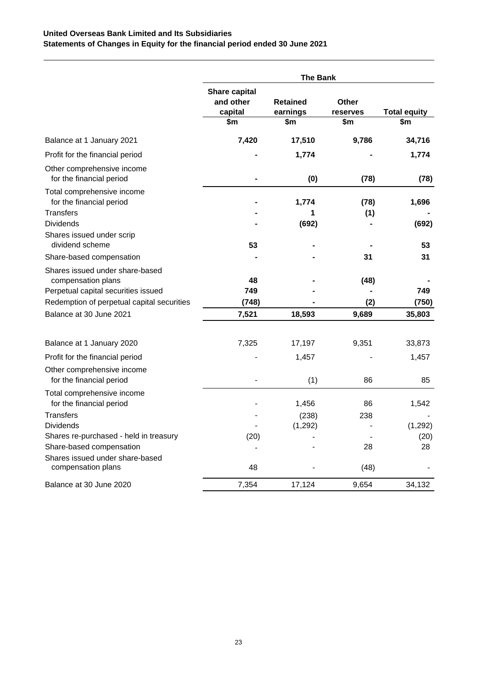# **United Overseas Bank Limited and Its Subsidiaries Statements of Changes in Equity for the financial period ended 30 June 2021**

|                                                                                              |                                                     | <b>The Bank</b>                    |                          |                            |
|----------------------------------------------------------------------------------------------|-----------------------------------------------------|------------------------------------|--------------------------|----------------------------|
|                                                                                              | <b>Share capital</b><br>and other<br>capital<br>\$m | <b>Retained</b><br>earnings<br>\$m | Other<br>reserves<br>\$m | <b>Total equity</b><br>\$m |
| Balance at 1 January 2021                                                                    | 7,420                                               | 17,510                             | 9,786                    | 34,716                     |
| Profit for the financial period                                                              |                                                     | 1,774                              |                          | 1,774                      |
| Other comprehensive income<br>for the financial period                                       |                                                     | (0)                                | (78)                     | (78)                       |
| Total comprehensive income<br>for the financial period<br>Transfers                          |                                                     | 1,774<br>1                         | (78)<br>(1)              | 1,696                      |
| <b>Dividends</b><br>Shares issued under scrip                                                |                                                     | (692)                              |                          | (692)                      |
| dividend scheme<br>Share-based compensation                                                  | 53                                                  |                                    | 31                       | 53<br>31                   |
| Shares issued under share-based<br>compensation plans<br>Perpetual capital securities issued | 48<br>749                                           |                                    | (48)                     | 749                        |
| Redemption of perpetual capital securities                                                   | (748)                                               |                                    | (2)                      | (750)                      |
| Balance at 30 June 2021                                                                      | 7,521                                               | 18,593                             | 9,689                    | 35,803                     |
| Balance at 1 January 2020                                                                    | 7,325                                               | 17,197                             | 9,351                    | 33,873                     |
| Profit for the financial period                                                              |                                                     | 1,457                              |                          | 1,457                      |
| Other comprehensive income<br>for the financial period                                       |                                                     | (1)                                | 86                       | 85                         |
| Total comprehensive income<br>for the financial period                                       |                                                     | 1,456                              | 86                       | 1,542                      |
| Transfers                                                                                    |                                                     | (238)                              | 238                      |                            |
| Dividends                                                                                    |                                                     | (1, 292)                           |                          | (1,292)                    |
| Shares re-purchased - held in treasury                                                       | (20)                                                |                                    |                          | (20)                       |
| Share-based compensation<br>Shares issued under share-based                                  |                                                     |                                    | 28                       | 28                         |
| compensation plans                                                                           | 48                                                  |                                    | (48)                     |                            |
| Balance at 30 June 2020                                                                      | 7,354                                               | 17,124                             | 9,654                    | 34,132                     |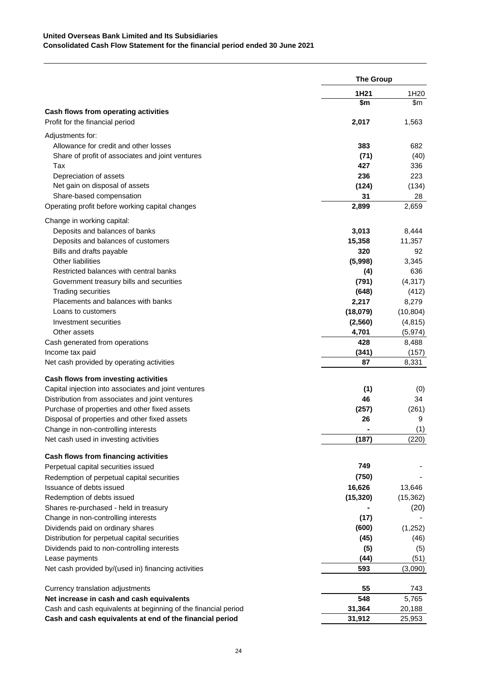|                                                                             | <b>The Group</b> |                  |
|-----------------------------------------------------------------------------|------------------|------------------|
|                                                                             | 1H21             | 1H <sub>20</sub> |
|                                                                             | \$m              | \$m              |
| Cash flows from operating activities                                        |                  |                  |
| Profit for the financial period                                             | 2,017            | 1,563            |
| Adjustments for:                                                            |                  |                  |
| Allowance for credit and other losses                                       | 383              | 682              |
| Share of profit of associates and joint ventures                            | (71)             | (40)             |
| Tax                                                                         | 427              | 336              |
| Depreciation of assets                                                      | 236              | 223              |
| Net gain on disposal of assets                                              | (124)            | (134)            |
| Share-based compensation                                                    | 31               | 28               |
| Operating profit before working capital changes                             | 2,899            | 2,659            |
| Change in working capital:                                                  |                  |                  |
| Deposits and balances of banks                                              | 3,013            | 8,444            |
| Deposits and balances of customers                                          | 15,358           | 11,357           |
| Bills and drafts payable                                                    | 320              | 92               |
| <b>Other liabilities</b>                                                    | (5,998)          | 3,345            |
| Restricted balances with central banks                                      | (4)              | 636              |
| Government treasury bills and securities                                    | (791)            | (4, 317)         |
| <b>Trading securities</b>                                                   | (648)            | (412)            |
| Placements and balances with banks                                          | 2,217            | 8,279            |
| Loans to customers                                                          | (18,079)         | (10, 804)        |
| Investment securities                                                       | (2, 560)         | (4, 815)         |
| Other assets                                                                | 4,701            | (5, 974)         |
| Cash generated from operations                                              | 428              | 8,488            |
| Income tax paid                                                             | (341)            | (157)            |
| Net cash provided by operating activities                                   | 87               | 8,331            |
| Cash flows from investing activities                                        |                  |                  |
| Capital injection into associates and joint ventures                        | (1)              | (0)              |
| Distribution from associates and joint ventures                             | 46               | 34               |
| Purchase of properties and other fixed assets                               | (257)            | (261)            |
| Disposal of properties and other fixed assets                               | 26               | 9                |
| Change in non-controlling interests                                         |                  | (1)              |
| Net cash used in investing activities                                       | (187)            | (220)            |
|                                                                             |                  |                  |
| Cash flows from financing activities<br>Perpetual capital securities issued | 749              |                  |
|                                                                             | (750)            |                  |
| Redemption of perpetual capital securities<br>Issuance of debts issued      | 16,626           | 13,646           |
| Redemption of debts issued                                                  | (15, 320)        | (15, 362)        |
| Shares re-purchased - held in treasury                                      |                  | (20)             |
| Change in non-controlling interests                                         | (17)             |                  |
| Dividends paid on ordinary shares                                           | (600)            | (1,252)          |
| Distribution for perpetual capital securities                               | (45)             | (46)             |
| Dividends paid to non-controlling interests                                 | (5)              |                  |
| Lease payments                                                              | (44)             | (5)<br>(51)      |
| Net cash provided by/(used in) financing activities                         | 593              | (3,090)          |
|                                                                             |                  |                  |
| Currency translation adjustments                                            | 55               | 743              |
| Net increase in cash and cash equivalents                                   | 548              | 5,765            |
| Cash and cash equivalents at beginning of the financial period              | 31,364           | 20,188           |
| Cash and cash equivalents at end of the financial period                    | 31,912           | 25,953           |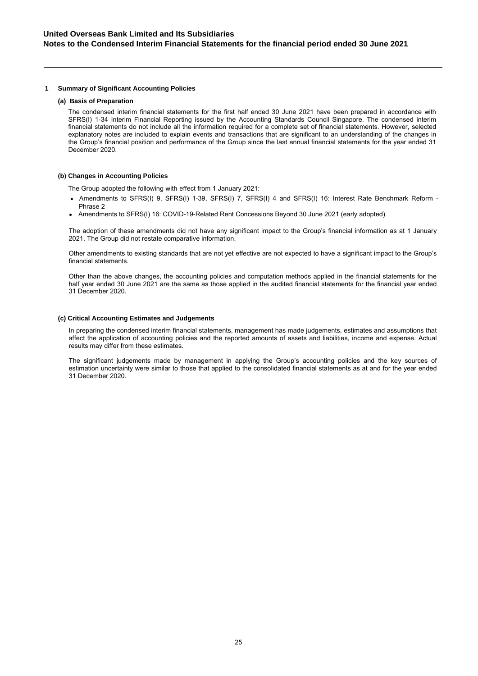### **1 Summary of Significant Accounting Policies**

### **(a) Basis of Preparation**

The condensed interim financial statements for the first half ended 30 June 2021 have been prepared in accordance with SFRS(I) 1-34 Interim Financial Reporting issued by the Accounting Standards Council Singapore. The condensed interim financial statements do not include all the information required for a complete set of financial statements. However, selected explanatory notes are included to explain events and transactions that are significant to an understanding of the changes in the Group's financial position and performance of the Group since the last annual financial statements for the year ended 31 December 2020.

### **(b) Changes in Accounting Policies**

The Group adopted the following with effect from 1 January 2021:

- Amendments to SFRS(I) 9, SFRS(I) 1-39, SFRS(I) 7, SFRS(I) 4 and SFRS(I) 16: Interest Rate Benchmark Reform -Phrase 2
- Amendments to SFRS(I) 16: COVID-19-Related Rent Concessions Beyond 30 June 2021 (early adopted)

The adoption of these amendments did not have any significant impact to the Group's financial information as at 1 January 2021. The Group did not restate comparative information.

Other amendments to existing standards that are not yet effective are not expected to have a significant impact to the Group's financial statements.

Other than the above changes, the accounting policies and computation methods applied in the financial statements for the half year ended 30 June 2021 are the same as those applied in the audited financial statements for the financial year ended 31 December 2020.

#### **(c) Critical Accounting Estimates and Judgements**

In preparing the condensed interim financial statements, management has made judgements, estimates and assumptions that affect the application of accounting policies and the reported amounts of assets and liabilities, income and expense. Actual results may differ from these estimates.

The significant judgements made by management in applying the Group's accounting policies and the key sources of estimation uncertainty were similar to those that applied to the consolidated financial statements as at and for the year ended 31 December 2020.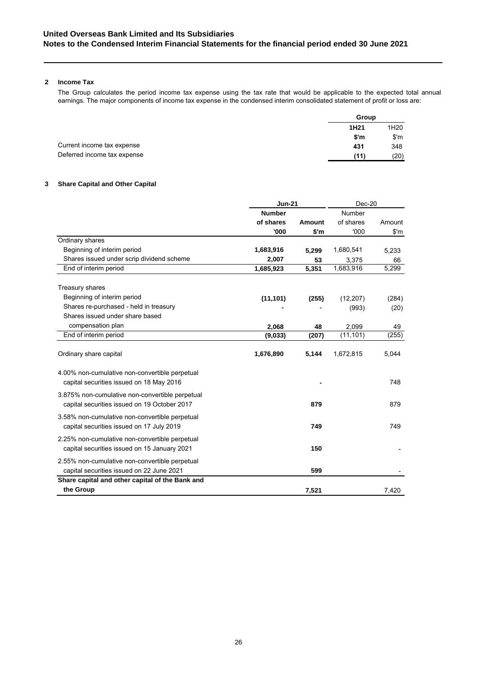### **2 Income Tax**

The Group calculates the period income tax expense using the tax rate that would be applicable to the expected total annual earnings. The major components of income tax expense in the condensed interim consolidated statement of profit or loss are:

|                             | Group            |      |
|-----------------------------|------------------|------|
|                             | 1H <sub>21</sub> | 1H20 |
|                             | \$~m             | \$'m |
| Current income tax expense  | 431              | 348  |
| Deferred income tax expense | (11)             | (20) |

### **3 Share Capital and Other Capital**

|                                                                                                 | <b>Jun-21</b> | Dec-20 |           |                         |
|-------------------------------------------------------------------------------------------------|---------------|--------|-----------|-------------------------|
|                                                                                                 | <b>Number</b> |        | Number    |                         |
|                                                                                                 | of shares     | Amount | of shares | Amount                  |
|                                                                                                 | '000          | \$'m   | '000      | $\mathsf{S}'\mathsf{m}$ |
| Ordinary shares                                                                                 |               |        |           |                         |
| Beginning of interim period                                                                     | 1,683,916     | 5.299  | 1,680,541 | 5,233                   |
| Shares issued under scrip dividend scheme                                                       | 2,007         | 53     | 3,375     | 66                      |
| End of interim period                                                                           | 1,685,923     | 5,351  | 1,683,916 | 5,299                   |
| Treasury shares                                                                                 |               |        |           |                         |
| Beginning of interim period                                                                     | (11, 101)     | (255)  | (12, 207) | (284)                   |
| Shares re-purchased - held in treasury                                                          |               |        | (993)     | (20)                    |
| Shares issued under share based                                                                 |               |        |           |                         |
| compensation plan                                                                               | 2,068         | 48     | 2,099     | 49                      |
| End of interim period                                                                           | (9,033)       | (207)  | (11, 101) | (255)                   |
| Ordinary share capital                                                                          | 1,676,890     | 5,144  | 1,672,815 | 5,044                   |
| 4.00% non-cumulative non-convertible perpetual<br>capital securities issued on 18 May 2016      |               |        |           | 748                     |
| 3.875% non-cumulative non-convertible perpetual<br>capital securities issued on 19 October 2017 |               | 879    |           | 879                     |
| 3.58% non-cumulative non-convertible perpetual<br>capital securities issued on 17 July 2019     |               | 749    |           | 749                     |
| 2.25% non-cumulative non-convertible perpetual<br>capital securities issued on 15 January 2021  |               | 150    |           |                         |
| 2.55% non-cumulative non-convertible perpetual<br>capital securities issued on 22 June 2021     |               | 599    |           |                         |
| Share capital and other capital of the Bank and                                                 |               |        |           |                         |
| the Group                                                                                       |               | 7.521  |           | 7.420                   |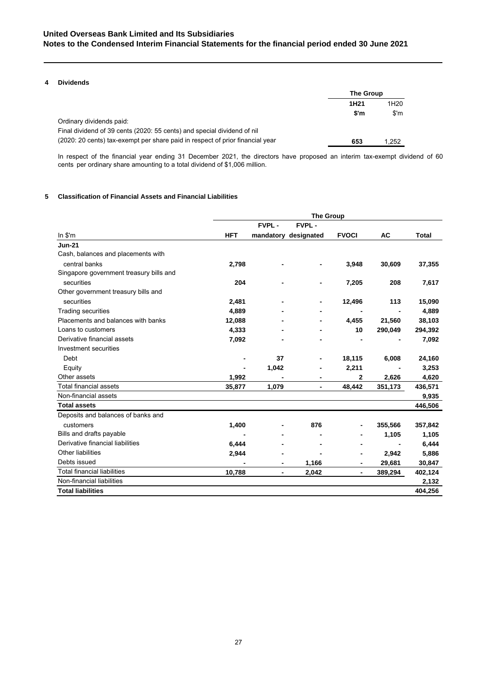### **4 Dividends**

|                                                                               | The Group        |                  |  |
|-------------------------------------------------------------------------------|------------------|------------------|--|
|                                                                               | 1H <sub>21</sub> | 1H <sub>20</sub> |  |
|                                                                               | \$'m             | $\mathsf{S}'$ m  |  |
| Ordinary dividends paid:                                                      |                  |                  |  |
| Final dividend of 39 cents (2020: 55 cents) and special dividend of nil       |                  |                  |  |
| (2020: 20 cents) tax-exempt per share paid in respect of prior financial year | 653              | 1.252            |  |

In respect of the financial year ending 31 December 2021, the directors have proposed an interim tax-exempt dividend of 60 cents per ordinary share amounting to a total dividend of \$1,006 million.

### **5 Classification of Financial Assets and Financial Liabilities**

|                                         | <b>The Group</b> |                          |                      |                |         |              |
|-----------------------------------------|------------------|--------------------------|----------------------|----------------|---------|--------------|
|                                         |                  | <b>FVPL-</b>             | <b>FVPL-</b>         |                |         |              |
| $ln$ \$'m                               | <b>HFT</b>       |                          | mandatory designated | <b>FVOCI</b>   | AC      | <b>Total</b> |
| <b>Jun-21</b>                           |                  |                          |                      |                |         |              |
| Cash, balances and placements with      |                  |                          |                      |                |         |              |
| central banks                           | 2,798            |                          |                      | 3,948          | 30,609  | 37,355       |
| Singapore government treasury bills and |                  |                          |                      |                |         |              |
| securities                              | 204              |                          | ٠                    | 7,205          | 208     | 7,617        |
| Other government treasury bills and     |                  |                          |                      |                |         |              |
| securities                              | 2,481            |                          |                      | 12,496         | 113     | 15,090       |
| <b>Trading securities</b>               | 4,889            |                          |                      | $\blacksquare$ |         | 4,889        |
| Placements and balances with banks      | 12,088           |                          |                      | 4,455          | 21,560  | 38,103       |
| Loans to customers                      | 4,333            |                          |                      | 10             | 290,049 | 294,392      |
| Derivative financial assets             | 7,092            |                          |                      |                |         | 7,092        |
| Investment securities                   |                  |                          |                      |                |         |              |
| Debt                                    |                  | 37                       | $\blacksquare$       | 18,115         | 6,008   | 24,160       |
| Equity                                  |                  | 1,042                    |                      | 2,211          |         | 3,253        |
| Other assets                            | 1,992            |                          |                      | $\mathbf{2}$   | 2,626   | 4,620        |
| Total financial assets                  | 35,877           | 1,079                    | $\blacksquare$       | 48,442         | 351,173 | 436,571      |
| Non-financial assets                    |                  |                          |                      |                |         | 9,935        |
| <b>Total assets</b>                     |                  |                          |                      |                |         | 446,506      |
| Deposits and balances of banks and      |                  |                          |                      |                |         |              |
| customers                               | 1,400            |                          | 876                  |                | 355,566 | 357,842      |
| Bills and drafts payable                |                  |                          |                      |                | 1,105   | 1,105        |
| Derivative financial liabilities        | 6,444            |                          |                      |                |         | 6,444        |
| Other liabilities                       | 2,944            |                          |                      | ۰              | 2,942   | 5,886        |
| Debts issued                            |                  |                          | 1,166                |                | 29,681  | 30,847       |
| <b>Total financial liabilities</b>      | 10,788           | $\overline{\phantom{a}}$ | 2,042                | ۰              | 389,294 | 402,124      |
| Non-financial liabilities               |                  |                          |                      |                |         | 2,132        |
| <b>Total liabilities</b>                |                  |                          |                      |                |         | 404,256      |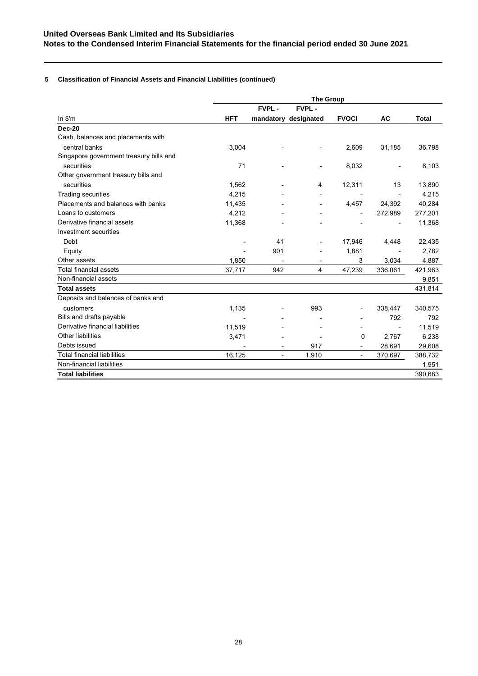# **5 Classification of Financial Assets and Financial Liabilities (continued)**

|                                         | <b>The Group</b> |                          |                          |                          |                          |              |
|-----------------------------------------|------------------|--------------------------|--------------------------|--------------------------|--------------------------|--------------|
|                                         |                  | <b>FVPL-</b>             | <b>FVPL-</b>             |                          |                          |              |
| ln \$'m                                 | <b>HFT</b>       |                          | mandatory designated     | <b>FVOCI</b>             | <b>AC</b>                | <b>Total</b> |
| <b>Dec-20</b>                           |                  |                          |                          |                          |                          |              |
| Cash, balances and placements with      |                  |                          |                          |                          |                          |              |
| central banks                           | 3,004            |                          |                          | 2,609                    | 31,185                   | 36,798       |
| Singapore government treasury bills and |                  |                          |                          |                          |                          |              |
| securities                              | 71               |                          | $\blacksquare$           | 8,032                    |                          | 8,103        |
| Other government treasury bills and     |                  |                          |                          |                          |                          |              |
| securities                              | 1,562            |                          | 4                        | 12,311                   | 13                       | 13,890       |
| <b>Trading securities</b>               | 4.215            |                          | $\overline{\phantom{a}}$ | $\overline{\phantom{a}}$ | $\overline{\phantom{a}}$ | 4,215        |
| Placements and balances with banks      | 11,435           |                          | $\overline{\phantom{a}}$ | 4,457                    | 24,392                   | 40,284       |
| Loans to customers                      | 4.212            |                          | $\overline{\phantom{0}}$ |                          | 272,989                  | 277,201      |
| Derivative financial assets             | 11,368           |                          |                          |                          |                          | 11,368       |
| Investment securities                   |                  |                          |                          |                          |                          |              |
| Debt                                    |                  | 41                       | $\blacksquare$           | 17,946                   | 4,448                    | 22,435       |
| Equity                                  |                  | 901                      |                          | 1,881                    |                          | 2,782        |
| Other assets                            | 1,850            |                          |                          | 3                        | 3,034                    | 4,887        |
| <b>Total financial assets</b>           | 37,717           | 942                      | 4                        | 47,239                   | 336,061                  | 421,963      |
| Non-financial assets                    |                  |                          |                          |                          |                          | 9,851        |
| <b>Total assets</b>                     |                  |                          |                          |                          |                          | 431,814      |
| Deposits and balances of banks and      |                  |                          |                          |                          |                          |              |
| customers                               | 1,135            |                          | 993                      |                          | 338,447                  | 340,575      |
| Bills and drafts payable                |                  |                          |                          |                          | 792                      | 792          |
| Derivative financial liabilities        | 11,519           |                          |                          |                          |                          | 11,519       |
| Other liabilities                       | 3,471            |                          |                          | 0                        | 2,767                    | 6,238        |
| Debts issued                            |                  |                          | 917                      |                          | 28,691                   | 29,608       |
| <b>Total financial liabilities</b>      | 16,125           | $\overline{\phantom{a}}$ | 1,910                    | $\overline{\phantom{a}}$ | 370,697                  | 388,732      |
| Non-financial liabilities               |                  |                          |                          |                          |                          | 1,951        |
| <b>Total liabilities</b>                |                  |                          |                          |                          |                          | 390,683      |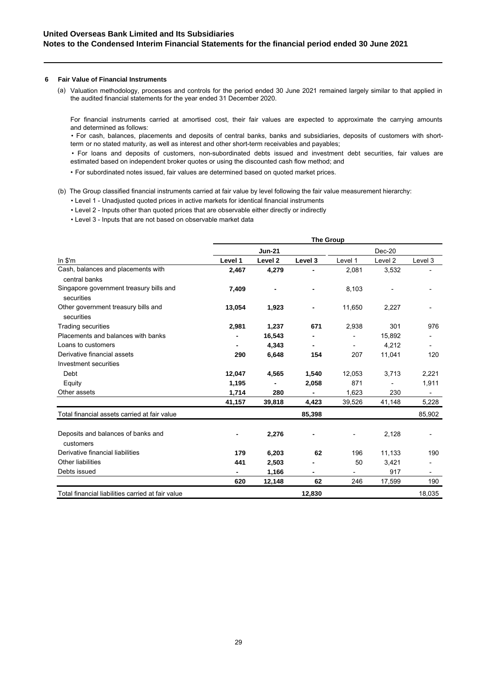### **6 Fair Value of Financial Instruments**

Valuation methodology, processes and controls for the period ended 30 June 2021 remained largely similar to that applied in (a)the audited financial statements for the year ended 31 December 2020.

For financial instruments carried at amortised cost, their fair values are expected to approximate the carrying amounts and determined as follows:

• For cash, balances, placements and deposits of central banks, banks and subsidiaries, deposits of customers with shortterm or no stated maturity, as well as interest and other short-term receivables and payables;

• For loans and deposits of customers, non-subordinated debts issued and investment debt securities, fair values are estimated based on independent broker quotes or using the discounted cash flow method; and

- For subordinated notes issued, fair values are determined based on quoted market prices.
- (b) The Group classified financial instruments carried at fair value by level following the fair value measurement hierarchy:
	- Level 1 Unadjusted quoted prices in active markets for identical financial instruments
	- Level 2 Inputs other than quoted prices that are observable either directly or indirectly
	- Level 3 Inputs that are not based on observable market data

|                                                       | <b>The Group</b> |                    |         |         |                    |                          |
|-------------------------------------------------------|------------------|--------------------|---------|---------|--------------------|--------------------------|
|                                                       |                  | <b>Jun-21</b>      |         |         | Dec-20             |                          |
| $ln$ \$'m                                             | Level 1          | Level <sub>2</sub> | Level 3 | Level 1 | Level <sub>2</sub> | Level 3                  |
| Cash, balances and placements with<br>central banks   | 2,467            | 4,279              |         | 2,081   | 3,532              |                          |
| Singapore government treasury bills and<br>securities | 7,409            |                    |         | 8,103   |                    |                          |
| Other government treasury bills and<br>securities     | 13,054           | 1,923              |         | 11,650  | 2,227              |                          |
| <b>Trading securities</b>                             | 2,981            | 1,237              | 671     | 2,938   | 301                | 976                      |
| Placements and balances with banks                    |                  | 16,543             |         |         | 15,892             |                          |
| Loans to customers                                    |                  | 4,343              |         |         | 4,212              |                          |
| Derivative financial assets                           | 290              | 6,648              | 154     | 207     | 11,041             | 120                      |
| Investment securities                                 |                  |                    |         |         |                    |                          |
| Debt                                                  | 12,047           | 4,565              | 1,540   | 12,053  | 3,713              | 2,221                    |
| Equity                                                | 1,195            |                    | 2,058   | 871     |                    | 1,911                    |
| Other assets                                          | 1,714            | 280                |         | 1,623   | 230                | $\overline{\phantom{a}}$ |
|                                                       | 41,157           | 39,818             | 4,423   | 39,526  | 41,148             | 5,228                    |
| Total financial assets carried at fair value          |                  |                    | 85,398  |         |                    | 85,902                   |
| Deposits and balances of banks and<br>customers       |                  | 2,276              |         |         | 2,128              |                          |
| Derivative financial liabilities                      | 179              | 6,203              | 62      | 196     | 11,133             | 190                      |
| Other liabilities                                     | 441              | 2,503              |         | 50      | 3,421              |                          |
| Debts issued                                          |                  | 1,166              |         |         | 917                |                          |
|                                                       | 620              | 12,148             | 62      | 246     | 17,599             | 190                      |
| Total financial liabilities carried at fair value     |                  |                    | 12,830  |         |                    | 18,035                   |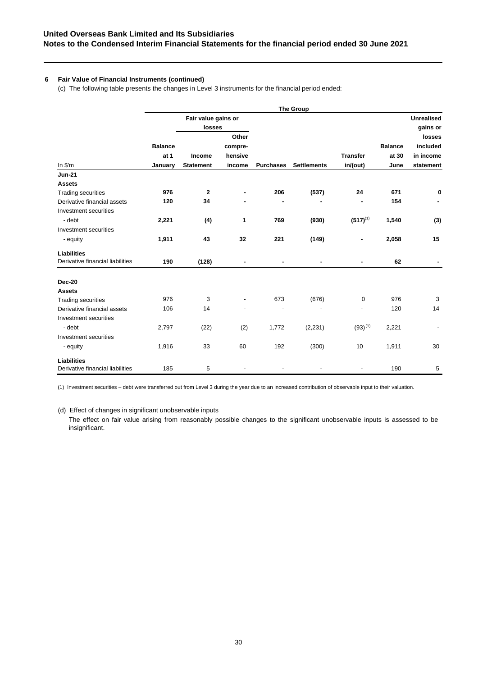# **6 Fair Value of Financial Instruments (continued)**

(c) The following table presents the changes in Level 3 instruments for the financial period ended:

|                                  | <b>The Group</b> |                     |         |                  |                    |                 |                |                   |
|----------------------------------|------------------|---------------------|---------|------------------|--------------------|-----------------|----------------|-------------------|
|                                  |                  | Fair value gains or |         |                  |                    |                 |                | <b>Unrealised</b> |
|                                  |                  | losses              |         |                  |                    |                 |                | gains or          |
|                                  |                  |                     | Other   |                  |                    |                 |                | losses            |
|                                  | <b>Balance</b>   |                     | compre- |                  |                    |                 | <b>Balance</b> | included          |
|                                  | at 1             | Income              | hensive |                  |                    | <b>Transfer</b> | at 30          | in income         |
| In $$^{\prime}$ m                | January          | <b>Statement</b>    | income  | <b>Purchases</b> | <b>Settlements</b> | in/(out)        | June           | statement         |
| <b>Jun-21</b>                    |                  |                     |         |                  |                    |                 |                |                   |
| <b>Assets</b>                    |                  |                     |         |                  |                    |                 |                |                   |
| <b>Trading securities</b>        | 976              | $\mathbf{2}$        |         | 206              | (537)              | 24              | 671            | 0                 |
| Derivative financial assets      | 120              | 34                  |         |                  |                    |                 | 154            |                   |
| Investment securities            |                  |                     |         |                  |                    |                 |                |                   |
| - debt                           | 2,221            | (4)                 | 1       | 769              | (930)              | $(517)^{(1)}$   | 1,540          | (3)               |
| Investment securities            |                  |                     |         |                  |                    |                 |                |                   |
| - equity                         | 1,911            | 43                  | 32      | 221              | (149)              |                 | 2,058          | 15                |
| <b>Liabilities</b>               |                  |                     |         |                  |                    |                 |                |                   |
| Derivative financial liabilities | 190              | (128)               |         |                  |                    | ۰               | 62             |                   |
| Dec-20                           |                  |                     |         |                  |                    |                 |                |                   |
| <b>Assets</b>                    |                  |                     |         |                  |                    |                 |                |                   |
| <b>Trading securities</b>        | 976              | 3                   |         | 673              | (676)              | $\mathbf 0$     | 976            | 3                 |
| Derivative financial assets      | 106              | 14                  | ٠       |                  |                    |                 | 120            | 14                |
| Investment securities            |                  |                     |         |                  |                    |                 |                |                   |
| - debt                           | 2,797            | (22)                | (2)     | 1,772            | (2, 231)           | $(93)^{(1)}$    | 2,221          |                   |
| Investment securities            |                  |                     |         |                  |                    |                 |                |                   |
| - equity                         | 1,916            | 33                  | 60      | 192              | (300)              | 10              | 1,911          | 30                |
| <b>Liabilities</b>               |                  |                     |         |                  |                    |                 |                |                   |
| Derivative financial liabilities | 185              | 5                   |         |                  |                    |                 | 190            | 5                 |

(1) Investment securities – debt were transferred out from Level 3 during the year due to an increased contribution of observable input to their valuation.

(d) Effect of changes in significant unobservable inputs

The effect on fair value arising from reasonably possible changes to the significant unobservable inputs is assessed to be insignificant.